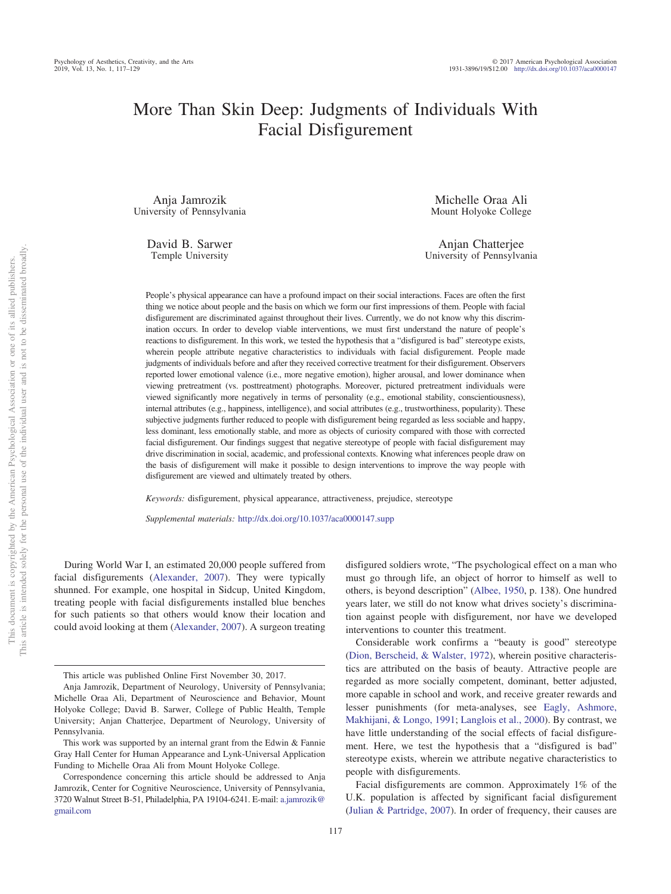# More Than Skin Deep: Judgments of Individuals With Facial Disfigurement

Anja Jamrozik University of Pennsylvania

> David B. Sarwer Temple University

Michelle Oraa Ali Mount Holyoke College

Anjan Chatteriee University of Pennsylvania

People's physical appearance can have a profound impact on their social interactions. Faces are often the first thing we notice about people and the basis on which we form our first impressions of them. People with facial disfigurement are discriminated against throughout their lives. Currently, we do not know why this discrimination occurs. In order to develop viable interventions, we must first understand the nature of people's reactions to disfigurement. In this work, we tested the hypothesis that a "disfigured is bad" stereotype exists, wherein people attribute negative characteristics to individuals with facial disfigurement. People made judgments of individuals before and after they received corrective treatment for their disfigurement. Observers reported lower emotional valence (i.e., more negative emotion), higher arousal, and lower dominance when viewing pretreatment (vs. posttreatment) photographs. Moreover, pictured pretreatment individuals were viewed significantly more negatively in terms of personality (e.g., emotional stability, conscientiousness), internal attributes (e.g., happiness, intelligence), and social attributes (e.g., trustworthiness, popularity). These subjective judgments further reduced to people with disfigurement being regarded as less sociable and happy, less dominant, less emotionally stable, and more as objects of curiosity compared with those with corrected facial disfigurement. Our findings suggest that negative stereotype of people with facial disfigurement may drive discrimination in social, academic, and professional contexts. Knowing what inferences people draw on the basis of disfigurement will make it possible to design interventions to improve the way people with disfigurement are viewed and ultimately treated by others.

*Keywords:* disfigurement, physical appearance, attractiveness, prejudice, stereotype

*Supplemental materials:* http://dx.doi.org[/10.1037/aca0000147.supp](http://dx.doi.org/10.1037/aca0000147.supp)

During World War I, an estimated 20,000 people suffered from facial disfigurements [\(Alexander, 2007\)](#page-10-0). They were typically shunned. For example, one hospital in Sidcup, United Kingdom, treating people with facial disfigurements installed blue benches for such patients so that others would know their location and could avoid looking at them [\(Alexander, 2007\)](#page-10-0). A surgeon treating

117

disfigured soldiers wrote, "The psychological effect on a man who must go through life, an object of horror to himself as well to others, is beyond description" [\(Albee, 1950,](#page-10-1) p. 138). One hundred years later, we still do not know what drives society's discrimination against people with disfigurement, nor have we developed interventions to counter this treatment.

Considerable work confirms a "beauty is good" stereotype [\(Dion, Berscheid, & Walster, 1972\)](#page-11-0), wherein positive characteristics are attributed on the basis of beauty. Attractive people are regarded as more socially competent, dominant, better adjusted, more capable in school and work, and receive greater rewards and lesser punishments (for meta-analyses, see [Eagly, Ashmore,](#page-11-1) [Makhijani, & Longo, 1991;](#page-11-1) [Langlois et al., 2000\)](#page-11-2). By contrast, we have little understanding of the social effects of facial disfigurement. Here, we test the hypothesis that a "disfigured is bad" stereotype exists, wherein we attribute negative characteristics to people with disfigurements.

Facial disfigurements are common. Approximately 1% of the U.K. population is affected by significant facial disfigurement [\(Julian & Partridge, 2007\)](#page-11-3). In order of frequency, their causes are

This article was published Online First November 30, 2017.

Anja Jamrozik, Department of Neurology, University of Pennsylvania; Michelle Oraa Ali, Department of Neuroscience and Behavior, Mount Holyoke College; David B. Sarwer, College of Public Health, Temple University; Anjan Chatterjee, Department of Neurology, University of Pennsylvania.

This work was supported by an internal grant from the Edwin & Fannie Gray Hall Center for Human Appearance and Lynk-Universal Application Funding to Michelle Oraa Ali from Mount Holyoke College.

Correspondence concerning this article should be addressed to Anja Jamrozik, Center for Cognitive Neuroscience, University of Pennsylvania, 3720 Walnut Street B-51, Philadelphia, PA 19104-6241. E-mail: [a.jamrozik@](mailto:a.jamrozik@gmail.com) [gmail.com](mailto:a.jamrozik@gmail.com)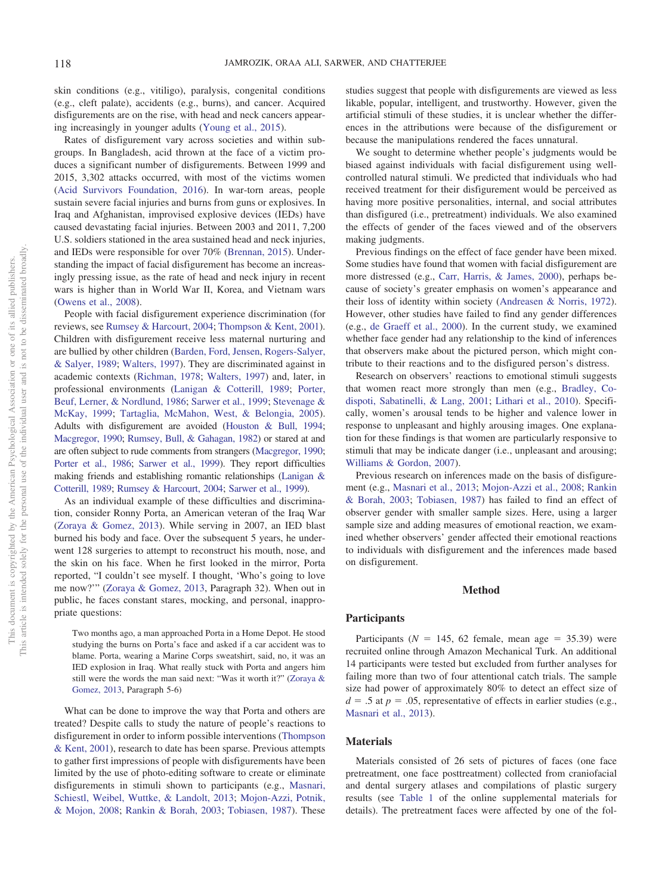skin conditions (e.g., vitiligo), paralysis, congenital conditions (e.g., cleft palate), accidents (e.g., burns), and cancer. Acquired disfigurements are on the rise, with head and neck cancers appearing increasingly in younger adults [\(Young et al., 2015\)](#page-12-0).

Rates of disfigurement vary across societies and within subgroups. In Bangladesh, acid thrown at the face of a victim produces a significant number of disfigurements. Between 1999 and 2015, 3,302 attacks occurred, with most of the victims women [\(Acid Survivors Foundation, 2016\)](#page-10-2). In war-torn areas, people sustain severe facial injuries and burns from guns or explosives. In Iraq and Afghanistan, improvised explosive devices (IEDs) have caused devastating facial injuries. Between 2003 and 2011, 7,200 U.S. soldiers stationed in the area sustained head and neck injuries, and IEDs were responsible for over 70% [\(Brennan, 2015\)](#page-11-4). Understanding the impact of facial disfigurement has become an increasingly pressing issue, as the rate of head and neck injury in recent wars is higher than in World War II, Korea, and Vietnam wars [\(Owens et al., 2008\)](#page-11-5).

People with facial disfigurement experience discrimination (for reviews, see [Rumsey & Harcourt, 2004;](#page-12-1) [Thompson & Kent, 2001\)](#page-12-2). Children with disfigurement receive less maternal nurturing and are bullied by other children [\(Barden, Ford, Jensen, Rogers-Salyer,](#page-10-3) [& Salyer, 1989;](#page-10-3) [Walters, 1997\)](#page-12-3). They are discriminated against in academic contexts [\(Richman, 1978;](#page-12-4) [Walters, 1997\)](#page-12-3) and, later, in professional environments [\(Lanigan & Cotterill, 1989;](#page-11-6) [Porter,](#page-11-7) [Beuf, Lerner, & Nordlund, 1986;](#page-11-7) [Sarwer et al., 1999;](#page-12-5) [Stevenage &](#page-12-6) [McKay, 1999;](#page-12-6) [Tartaglia, McMahon, West, & Belongia, 2005\)](#page-12-7). Adults with disfigurement are avoided [\(Houston & Bull, 1994;](#page-11-8) [Macgregor, 1990;](#page-11-9) [Rumsey, Bull, & Gahagan, 1982\)](#page-12-8) or stared at and are often subject to rude comments from strangers [\(Macgregor, 1990;](#page-11-9) [Porter et al., 1986;](#page-11-7) [Sarwer et al., 1999\)](#page-12-5). They report difficulties making friends and establishing romantic relationships [\(Lanigan &](#page-11-6) [Cotterill, 1989;](#page-11-6) [Rumsey & Harcourt, 2004;](#page-12-1) [Sarwer et al., 1999\)](#page-12-5).

As an individual example of these difficulties and discrimination, consider Ronny Porta, an American veteran of the Iraq War [\(Zoraya & Gomez, 2013\)](#page-12-9). While serving in 2007, an IED blast burned his body and face. Over the subsequent 5 years, he underwent 128 surgeries to attempt to reconstruct his mouth, nose, and the skin on his face. When he first looked in the mirror, Porta reported, "I couldn't see myself. I thought, 'Who's going to love me now?'" [\(Zoraya & Gomez, 2013,](#page-12-9) Paragraph 32). When out in public, he faces constant stares, mocking, and personal, inappropriate questions:

Two months ago, a man approached Porta in a Home Depot. He stood studying the burns on Porta's face and asked if a car accident was to blame. Porta, wearing a Marine Corps sweatshirt, said, no, it was an IED explosion in Iraq. What really stuck with Porta and angers him still were the words the man said next: "Was it worth it?" [\(Zoraya &](#page-12-9) [Gomez, 2013,](#page-12-9) Paragraph 5-6)

What can be done to improve the way that Porta and others are treated? Despite calls to study the nature of people's reactions to disfigurement in order to inform possible interventions [\(Thompson](#page-12-2) [& Kent, 2001\)](#page-12-2), research to date has been sparse. Previous attempts to gather first impressions of people with disfigurements have been limited by the use of photo-editing software to create or eliminate disfigurements in stimuli shown to participants (e.g., [Masnari,](#page-11-10) [Schiestl, Weibel, Wuttke, & Landolt, 2013;](#page-11-10) [Mojon-Azzi, Potnik,](#page-11-11) [& Mojon, 2008;](#page-11-11) [Rankin & Borah, 2003;](#page-12-10) [Tobiasen, 1987\)](#page-12-11). These

studies suggest that people with disfigurements are viewed as less likable, popular, intelligent, and trustworthy. However, given the artificial stimuli of these studies, it is unclear whether the differences in the attributions were because of the disfigurement or because the manipulations rendered the faces unnatural.

We sought to determine whether people's judgments would be biased against individuals with facial disfigurement using wellcontrolled natural stimuli. We predicted that individuals who had received treatment for their disfigurement would be perceived as having more positive personalities, internal, and social attributes than disfigured (i.e., pretreatment) individuals. We also examined the effects of gender of the faces viewed and of the observers making judgments.

Previous findings on the effect of face gender have been mixed. Some studies have found that women with facial disfigurement are more distressed (e.g., [Carr, Harris, & James, 2000\)](#page-11-12), perhaps because of society's greater emphasis on women's appearance and their loss of identity within society [\(Andreasen & Norris, 1972\)](#page-10-4). However, other studies have failed to find any gender differences (e.g., [de Graeff et al., 2000\)](#page-11-13). In the current study, we examined whether face gender had any relationship to the kind of inferences that observers make about the pictured person, which might contribute to their reactions and to the disfigured person's distress.

Research on observers' reactions to emotional stimuli suggests that women react more strongly than men (e.g., [Bradley, Co](#page-11-14)[dispoti, Sabatinelli, & Lang, 2001;](#page-11-14) [Lithari et al., 2010\)](#page-11-15). Specifically, women's arousal tends to be higher and valence lower in response to unpleasant and highly arousing images. One explanation for these findings is that women are particularly responsive to stimuli that may be indicate danger (i.e., unpleasant and arousing; [Williams & Gordon, 2007\)](#page-12-12).

Previous research on inferences made on the basis of disfigurement (e.g., [Masnari et al., 2013;](#page-11-10) [Mojon-Azzi et al., 2008;](#page-11-11) [Rankin](#page-12-10) [& Borah, 2003;](#page-12-10) [Tobiasen, 1987\)](#page-12-11) has failed to find an effect of observer gender with smaller sample sizes. Here, using a larger sample size and adding measures of emotional reaction, we examined whether observers' gender affected their emotional reactions to individuals with disfigurement and the inferences made based on disfigurement.

## **Method**

#### **Participants**

Participants ( $N = 145$ , 62 female, mean age = 35.39) were recruited online through Amazon Mechanical Turk. An additional 14 participants were tested but excluded from further analyses for failing more than two of four attentional catch trials. The sample size had power of approximately 80% to detect an effect size of  $d = 0.5$  at  $p = 0.05$ , representative of effects in earlier studies (e.g., [Masnari et al., 2013\)](#page-11-10).

#### **Materials**

Materials consisted of 26 sets of pictures of faces (one face pretreatment, one face posttreatment) collected from craniofacial and dental surgery atlases and compilations of plastic surgery results (see [Table 1](http://dx.doi.org/10.1037/aca0000147.supp) of the online supplemental materials for details). The pretreatment faces were affected by one of the fol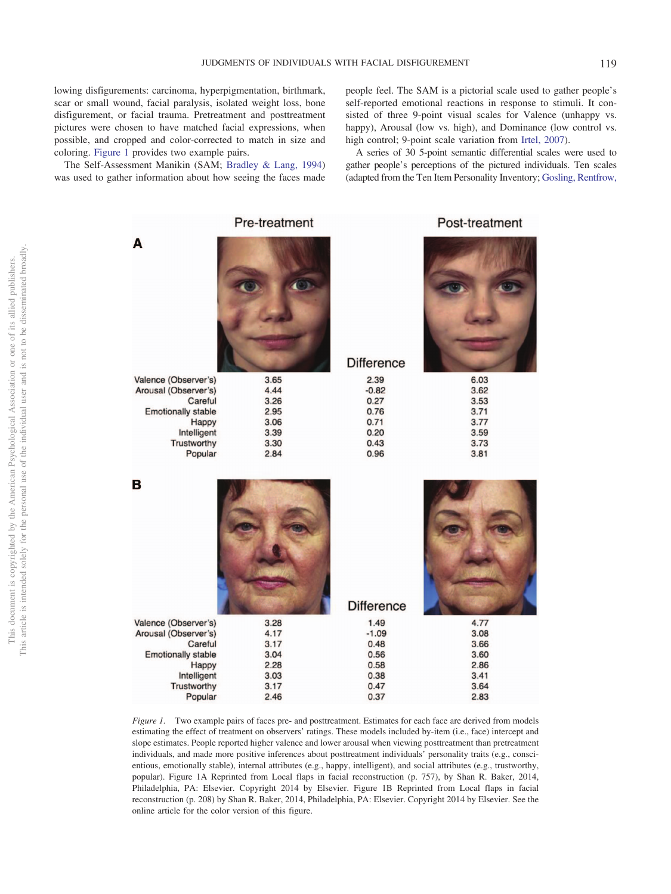lowing disfigurements: carcinoma, hyperpigmentation, birthmark, scar or small wound, facial paralysis, isolated weight loss, bone disfigurement, or facial trauma. Pretreatment and posttreatment pictures were chosen to have matched facial expressions, when possible, and cropped and color-corrected to match in size and coloring. [Figure 1](#page-2-0) provides two example pairs.

The Self-Assessment Manikin (SAM; [Bradley & Lang, 1994\)](#page-11-16) was used to gather information about how seeing the faces made people feel. The SAM is a pictorial scale used to gather people's self-reported emotional reactions in response to stimuli. It consisted of three 9-point visual scales for Valence (unhappy vs. happy), Arousal (low vs. high), and Dominance (low control vs. high control; 9-point scale variation from [Irtel, 2007\)](#page-11-17).

A series of 30 5-point semantic differential scales were used to gather people's perceptions of the pictured individuals. Ten scales (adapted from the Ten Item Personality Inventory; [Gosling, Rentfrow,](#page-11-18)

|                                      | Pre-treatment |                   | Post-treatment |
|--------------------------------------|---------------|-------------------|----------------|
| A                                    |               | <b>Difference</b> |                |
| Valence (Observer's)                 | 3.65          | 2.39              | 6.03           |
| Arousal (Observer's)                 | 4.44          | $-0.82$           | 3.62           |
| Careful<br><b>Emotionally stable</b> | 3.26<br>2.95  | 0.27<br>0.76      | 3.53<br>3.71   |
| Happy                                | 3.06          | 0.71              | 3.77           |
| Intelligent                          | 3.39          | 0.20              | 3.59           |
| Trustworthy                          | 3.30          | 0.43              | 3.73           |
| Popular                              | 2.84          | 0.96              | 3.81           |
| B                                    |               | <b>Difference</b> |                |
| Valence (Observer's)                 | 3.28          | 1.49              | 4.77           |
| Arousal (Observer's)                 | 4.17          | $-1.09$           | 3.08           |
| Careful                              | 3.17          | 0.48              | 3.66           |
| <b>Emotionally stable</b>            | 3.04          | 0.56              | 3.60           |
| Happy                                | 2.28          | 0.58<br>0.38      | 2.86<br>3.41   |
| Intelligent                          | 3.03<br>3.17  | 0.47              | 3.64           |
| Trustworthy                          |               |                   |                |
| Popular                              | 2.46          | 0.37              | 2.83           |

<span id="page-2-0"></span>*Figure 1.* Two example pairs of faces pre- and posttreatment. Estimates for each face are derived from models estimating the effect of treatment on observers' ratings. These models included by-item (i.e., face) intercept and slope estimates. People reported higher valence and lower arousal when viewing posttreatment than pretreatment individuals, and made more positive inferences about posttreatment individuals' personality traits (e.g., conscientious, emotionally stable), internal attributes (e.g., happy, intelligent), and social attributes (e.g., trustworthy, popular). Figure 1A Reprinted from Local flaps in facial reconstruction (p. 757), by Shan R. Baker, 2014, Philadelphia, PA: Elsevier. Copyright 2014 by Elsevier. Figure 1B Reprinted from Local flaps in facial reconstruction (p. 208) by Shan R. Baker, 2014, Philadelphia, PA: Elsevier. Copyright 2014 by Elsevier. See the online article for the color version of this figure.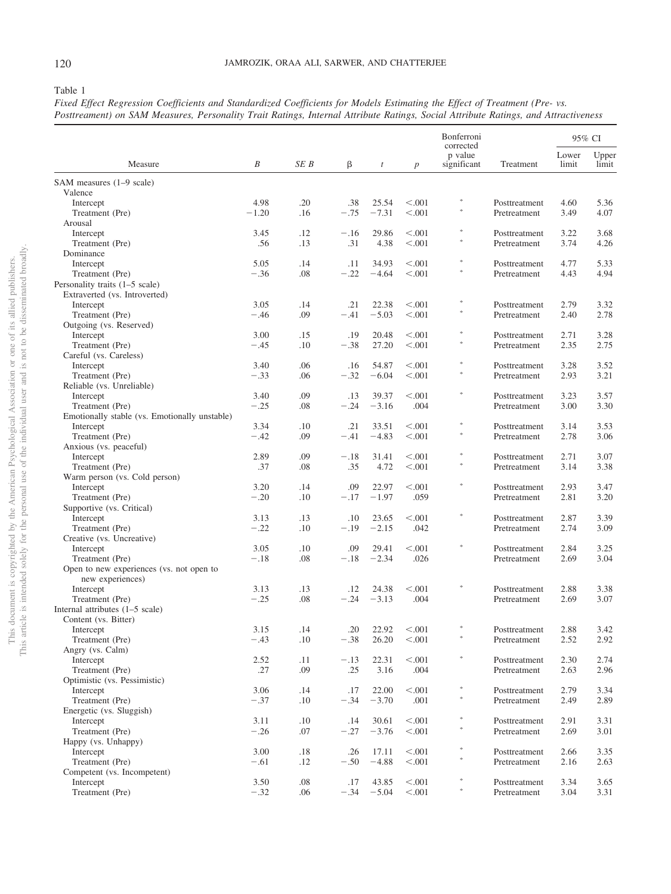<span id="page-3-0"></span>Table 1

*Fixed Effect Regression Coefficients and Standardized Coefficients for Models Estimating the Effect of Treatment (Pre- vs. Posttreament) on SAM Measures, Personality Trait Ratings, Internal Attribute Ratings, Social Attribute Ratings, and Attractiveness*

|                                               |                |            |               |                  |                    | Bonferroni<br>corrected |                               |                | 95% CI         |
|-----------------------------------------------|----------------|------------|---------------|------------------|--------------------|-------------------------|-------------------------------|----------------|----------------|
| Measure                                       | B              | SE B       | β             | $\boldsymbol{t}$ | $\boldsymbol{p}$   | p value<br>significant  | Treatment                     | Lower<br>limit | Upper<br>limit |
| SAM measures (1–9 scale)                      |                |            |               |                  |                    |                         |                               |                |                |
| Valence                                       |                |            |               |                  |                    | $\frac{1}{2} \xi$       |                               |                |                |
| Intercept                                     | 4.98           | .20        | .38           | 25.54            | < 0.001<br>< 0.001 | $\frac{1}{2}$           | Posttreatment                 | 4.60           | 5.36<br>4.07   |
| Treatment (Pre)<br>Arousal                    | $-1.20$        | .16        | $-.75$        | $-7.31$          |                    |                         | Pretreatment                  | 3.49           |                |
| Intercept                                     | 3.45           | .12        | $-.16$        | 29.86            | < 0.001            | $\frac{1}{2}$           | Posttreatment                 | 3.22           | 3.68           |
| Treatment (Pre)                               | .56            | .13        | .31           | 4.38             | < 0.001            |                         | Pretreatment                  | 3.74           | 4.26           |
| Dominance                                     |                |            |               |                  |                    |                         |                               |                |                |
| Intercept                                     | 5.05           | .14        | .11           | 34.93            | < 0.001            | $\frac{1}{2} \xi$       | Posttreatment                 | 4.77           | 5.33           |
| Treatment (Pre)                               | $-.36$         | .08        | $-.22$        | $-4.64$          | < 0.001            | $\frac{1}{2}$           | Pretreatment                  | 4.43           | 4.94           |
| Personality traits (1–5 scale)                |                |            |               |                  |                    |                         |                               |                |                |
| Extraverted (vs. Introverted)                 |                |            |               |                  |                    | $\frac{1}{2}$           |                               |                |                |
| Intercept                                     | 3.05           | .14        | .21           | 22.38            | < 0.001            | $\frac{1}{2}$           | Posttreatment                 | 2.79           | 3.32           |
| Treatment (Pre)<br>Outgoing (vs. Reserved)    | $-.46$         | .09        | $-.41$        | $-5.03$          | < 0.001            |                         | Pretreatment                  | 2.40           | 2.78           |
| Intercept                                     | 3.00           | .15        | .19           | 20.48            | < 0.001            | $\frac{1}{2}$           | Posttreatment                 | 2.71           | 3.28           |
| Treatment (Pre)                               | $-.45$         | .10        | $-.38$        | 27.20            | < 0.001            |                         | Pretreatment                  | 2.35           | 2.75           |
| Careful (vs. Careless)                        |                |            |               |                  |                    |                         |                               |                |                |
| Intercept                                     | 3.40           | .06        | .16           | 54.87            | < 0.001            | $\frac{1}{2}$           | Posttreatment                 | 3.28           | 3.52           |
| Treatment (Pre)                               | $-.33$         | .06        | $-.32$        | $-6.04$          | < 0.001            |                         | Pretreatment                  | 2.93           | 3.21           |
| Reliable (vs. Unreliable)                     |                |            |               |                  |                    |                         |                               |                |                |
| Intercept                                     | 3.40           | .09        | .13           | 39.37            | < 0.001            | $\frac{1}{2}$           | Posttreatment                 | 3.23           | 3.57           |
| Treatment (Pre)                               | $-.25$         | .08        | $-.24$        | $-3.16$          | .004               |                         | Pretreatment                  | 3.00           | 3.30           |
| Emotionally stable (vs. Emotionally unstable) | 3.34           |            | .21           | 33.51            | < 0.001            | $\frac{1}{2}$           |                               |                | 3.53           |
| Intercept<br>Treatment (Pre)                  | $-.42$         | .10<br>.09 | $-.41$        | $-4.83$          | < 0.001            | $\frac{1}{2}$           | Posttreatment<br>Pretreatment | 3.14<br>2.78   | 3.06           |
| Anxious (vs. peaceful)                        |                |            |               |                  |                    |                         |                               |                |                |
| Intercept                                     | 2.89           | .09        | $-.18$        | 31.41            | < 0.001            | $\frac{1}{2}$           | Posttreatment                 | 2.71           | 3.07           |
| Treatment (Pre)                               | .37            | .08        | .35           | 4.72             | < 0.001            |                         | Pretreatment                  | 3.14           | 3.38           |
| Warm person (vs. Cold person)                 |                |            |               |                  |                    |                         |                               |                |                |
| Intercept                                     | 3.20           | .14        | .09           | 22.97            | < 0.001            | $\frac{1}{2} \xi$       | Posttreatment                 | 2.93           | 3.47           |
| Treatment (Pre)                               | $-.20$         | .10        | $-.17$        | $-1.97$          | .059               |                         | Pretreatment                  | 2.81           | 3.20           |
| Supportive (vs. Critical)                     |                |            |               |                  |                    | $\frac{1}{2}$           |                               |                |                |
| Intercept                                     | 3.13           | .13        | .10           | 23.65            | < 0.001            |                         | Posttreatment                 | 2.87           | 3.39           |
| Treatment (Pre)<br>Creative (vs. Uncreative)  | $-.22$         | .10        | $-.19$        | $-2.15$          | .042               |                         | Pretreatment                  | 2.74           | 3.09           |
| Intercept                                     | 3.05           | .10        | .09           | 29.41            | < 0.001            | $\frac{1}{2}$           | Posttreatment                 | 2.84           | 3.25           |
| Treatment (Pre)                               | $-.18$         | .08        | $-.18$        | $-2.34$          | .026               |                         | Pretreatment                  | 2.69           | 3.04           |
| Open to new experiences (vs. not open to      |                |            |               |                  |                    |                         |                               |                |                |
| new experiences)                              |                |            |               |                  |                    |                         |                               |                |                |
| Intercept                                     | 3.13           | .13        | .12           | 24.38            | < 0.001            | $\frac{1}{2}$           | Posttreatment                 | 2.88           | 3.38           |
| Treatment (Pre)                               | $-.25$         | .08        | $-.24$        | $-3.13$          | .004               |                         | Pretreatment                  | 2.69           | 3.07           |
| Internal attributes $(1-5 \text{ scale})$     |                |            |               |                  |                    |                         |                               |                |                |
| Content (vs. Bitter)                          |                |            |               |                  |                    |                         |                               |                |                |
| Intercept                                     | 3.15           | .14        | .20           |                  | $22.92 \t < .001$  | $\frac{1}{2} \xi$       | Posttreatment                 | 2.88           | 3.42           |
| Treatment (Pre)<br>Angry (vs. Calm)           | $-.43$         | $.10\,$    | $-.38$        | 26.20            | < .001             |                         | Pretreatment                  | 2.52           | 2.92           |
| Intercept                                     | 2.52           | .11        | $-.13$        | 22.31            | < 0.001            | *                       | Posttreatment                 | 2.30           | 2.74           |
| Treatment (Pre)                               | .27            | .09        | .25           | 3.16             | .004               |                         | Pretreatment                  | 2.63           | 2.96           |
| Optimistic (vs. Pessimistic)                  |                |            |               |                  |                    |                         |                               |                |                |
| Intercept                                     | 3.06           | .14        | .17           | 22.00            | < 0.001            | $\ast$                  | Posttreatment                 | 2.79           | 3.34           |
| Treatment (Pre)                               | $-.37$         | $.10\,$    | $-.34$        | $-3.70$          | .001               | *                       | Pretreatment                  | 2.49           | 2.89           |
| Energetic (vs. Sluggish)                      |                |            |               |                  |                    |                         |                               |                |                |
| Intercept                                     | 3.11           | $.10\,$    | .14           | 30.61            | < .001             | $\ast$                  | Posttreatment                 | 2.91           | 3.31           |
| Treatment (Pre)                               | $-.26$         | .07        | $-.27$        | $-3.76$          | < .001             |                         | Pretreatment                  | 2.69           | 3.01           |
| Happy (vs. Unhappy)                           |                |            |               | 17.11            | < .001             | $\ast$                  |                               | 2.66           | 3.35           |
| Intercept<br>Treatment (Pre)                  | 3.00<br>$-.61$ | .18<br>.12 | .26<br>$-.50$ | $-4.88$          | < .001             | 冰                       | Posttreatment<br>Pretreatment | 2.16           | 2.63           |
| Competent (vs. Incompetent)                   |                |            |               |                  |                    |                         |                               |                |                |
| Intercept                                     | 3.50           | $.08\,$    | .17           | 43.85            | < .001             | ∗                       | Posttreatment                 | 3.34           | 3.65           |
| Treatment (Pre)                               | $-.32$         | .06        | $-.34$        | $-5.04$          | < 0.001            | $\ast$                  | Pretreatment                  | 3.04           | 3.31           |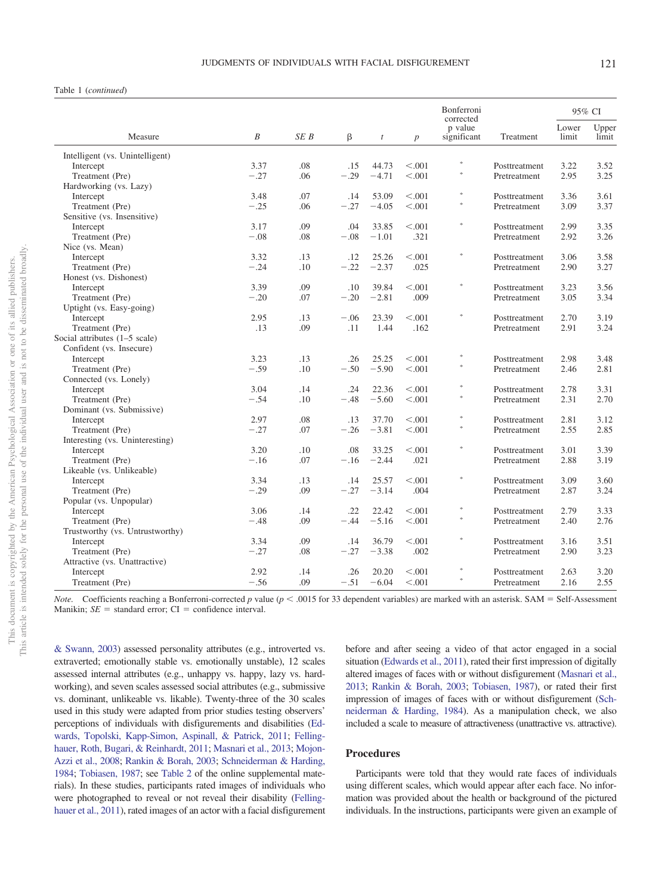#### Table 1 (*continued*)

|                                 |        |            |               |                  |                  | Bonferroni<br>corrected | 95% CI        |                |                |
|---------------------------------|--------|------------|---------------|------------------|------------------|-------------------------|---------------|----------------|----------------|
| Measure                         | B      | SE B       | β             | $\boldsymbol{t}$ | $\boldsymbol{p}$ | p value<br>significant  | Treatment     | Lower<br>limit | Upper<br>limit |
|                                 |        |            |               |                  |                  |                         |               |                |                |
| Intelligent (vs. Unintelligent) | 3.37   | .08        |               |                  | < 0.001          |                         |               | 3.22           | 3.52           |
| Intercept                       |        |            | .15<br>$-.29$ | 44.73<br>$-4.71$ |                  |                         | Posttreatment |                |                |
| Treatment (Pre)                 | $-.27$ | .06        |               |                  | < 0.001          |                         | Pretreatment  | 2.95           | 3.25           |
| Hardworking (vs. Lazy)          | 3.48   | .07        | .14           | 53.09            | < 0.001          |                         | Posttreatment | 3.36           | 3.61           |
| Intercept<br>Treatment (Pre)    | $-.25$ | .06        | $-.27$        | $-4.05$          | < 0.001          |                         | Pretreatment  | 3.09           | 3.37           |
|                                 |        |            |               |                  |                  |                         |               |                |                |
| Sensitive (vs. Insensitive)     | 3.17   | .09        | .04           | 33.85            | < 0.001          | $\approx$               | Posttreatment | 2.99           | 3.35           |
| Intercept<br>Treatment (Pre)    | $-.08$ | .08        | $-.08$        | $-1.01$          | .321             |                         | Pretreatment  | 2.92           | 3.26           |
| Nice (vs. Mean)                 |        |            |               |                  |                  |                         |               |                |                |
| Intercept                       | 3.32   | .13        | .12           | 25.26            | < 0.001          | ×                       | Posttreatment | 3.06           | 3.58           |
| Treatment (Pre)                 | $-.24$ | .10        | $-.22$        | $-2.37$          | .025             |                         | Pretreatment  | 2.90           | 3.27           |
| Honest (vs. Dishonest)          |        |            |               |                  |                  |                         |               |                |                |
| Intercept                       | 3.39   | .09        | .10           | 39.84            | < 0.001          | $\frac{1}{2}$           | Posttreatment | 3.23           | 3.56           |
| Treatment (Pre)                 | $-.20$ | .07        | $-.20$        | $-2.81$          | .009             |                         | Pretreatment  | 3.05           | 3.34           |
| Uptight (vs. Easy-going)        |        |            |               |                  |                  |                         |               |                |                |
|                                 | 2.95   | .13        | $-.06$        | 23.39            | < 0.001          |                         | Posttreatment | 2.70           | 3.19           |
| Intercept<br>Treatment (Pre)    | .13    | .09        | .11           | 1.44             | .162             |                         | Pretreatment  | 2.91           | 3.24           |
| Social attributes (1-5 scale)   |        |            |               |                  |                  |                         |               |                |                |
| Confident (vs. Insecure)        |        |            |               |                  |                  |                         |               |                |                |
|                                 | 3.23   | .13        |               | 25.25            | < 0.001          |                         | Posttreatment | 2.98           | 3.48           |
| Intercept<br>Treatment (Pre)    | $-.59$ | .10        | .26<br>$-.50$ | $-5.90$          | < 0.001          |                         | Pretreatment  | 2.46           | 2.81           |
|                                 |        |            |               |                  |                  |                         |               |                |                |
| Connected (vs. Lonely)          | 3.04   | .14        | .24           | 22.36            | < 0.001          |                         | Posttreatment | 2.78           | 3.31           |
| Intercept<br>Treatment (Pre)    | $-.54$ | .10        | $-.48$        | $-5.60$          | < 0.001          |                         | Pretreatment  | 2.31           | 2.70           |
| Dominant (vs. Submissive)       |        |            |               |                  |                  |                         |               |                |                |
|                                 | 2.97   | .08        | .13           | 37.70            | < 0.001          |                         | Posttreatment | 2.81           | 3.12           |
| Intercept                       | $-.27$ | .07        | $-.26$        | $-3.81$          |                  |                         |               | 2.55           | 2.85           |
| Treatment (Pre)                 |        |            |               |                  | < 0.001          |                         | Pretreatment  |                |                |
| Interesting (vs. Uninteresting) | 3.20   | .10        | .08           | 33.25            | < 0.001          | $\frac{1}{2} \xi$       |               | 3.01           | 3.39           |
| Intercept                       | $-.16$ | .07        | $-.16$        | $-2.44$          | .021             |                         | Posttreatment | 2.88           | 3.19           |
| Treatment (Pre)                 |        |            |               |                  |                  |                         | Pretreatment  |                |                |
| Likeable (vs. Unlikeable)       | 3.34   |            | .14           | 25.57            | < 0.001          | ×                       |               |                |                |
| Intercept                       |        | .13        |               |                  |                  |                         | Posttreatment | 3.09           | 3.60           |
| Treatment (Pre)                 | $-.29$ | .09        | $-.27$        | $-3.14$          | .004             |                         | Pretreatment  | 2.87           | 3.24           |
| Popular (vs. Unpopular)         |        |            | .22           |                  | < 0.001          |                         |               | 2.79           | 3.33           |
| Intercept                       | 3.06   | .14        |               | 22.42            |                  |                         | Posttreatment |                |                |
| Treatment (Pre)                 | $-.48$ | .09        | $-.44$        | $-5.16$          | < 0.001          |                         | Pretreatment  | 2.40           | 2.76           |
| Trustworthy (vs. Untrustworthy) |        |            |               |                  |                  | ×                       |               |                |                |
| Intercept                       | 3.34   | .09        | .14           | 36.79            | < 0.001          |                         | Posttreatment | 3.16           | 3.51           |
| Treatment (Pre)                 | $-.27$ | .08        | $-.27$        | $-3.38$          | .002             |                         | Pretreatment  | 2.90           | 3.23           |
| Attractive (vs. Unattractive)   |        |            |               |                  |                  |                         |               |                |                |
| Intercept                       | 2.92   | .14<br>.09 | .26           | 20.20            | < 0.001          |                         | Posttreatment | 2.63           | 3.20           |
| Treatment (Pre)                 | $-.56$ |            | $-.51$        | $-6.04$          | < 0.001          |                         | Pretreatment  | 2.16           | 2.55           |

*Note.* Coefficients reaching a Bonferroni-corrected *p* value ( $p < .0015$  for 33 dependent variables) are marked with an asterisk. SAM = Self-Assessment Manikin;  $SE =$  standard error;  $CI =$  confidence interval.

& Swann, 2003) assessed personality attributes (e.g., introverted vs. extraverted; emotionally stable vs. emotionally unstable), 12 scales assessed internal attributes (e.g., unhappy vs. happy, lazy vs. hardworking), and seven scales assessed social attributes (e.g., submissive vs. dominant, unlikeable vs. likable). Twenty-three of the 30 scales used in this study were adapted from prior studies testing observers' perceptions of individuals with disfigurements and disabilities [\(Ed](#page-11-19)[wards, Topolski, Kapp-Simon, Aspinall, & Patrick, 2011;](#page-11-19) [Felling](#page-11-20)[hauer, Roth, Bugari, & Reinhardt, 2011;](#page-11-20) [Masnari et al., 2013;](#page-11-10) [Mojon-](#page-11-11)[Azzi et al., 2008;](#page-11-11) [Rankin & Borah, 2003;](#page-12-10) [Schneiderman & Harding,](#page-12-13) [1984;](#page-12-13) [Tobiasen, 1987;](#page-12-11) see [Table 2](http://dx.doi.org/10.1037/aca0000147.supp) of the online supplemental materials). In these studies, participants rated images of individuals who were photographed to reveal or not reveal their disability [\(Felling](#page-11-20)[hauer et al., 2011\)](#page-11-20), rated images of an actor with a facial disfigurement

before and after seeing a video of that actor engaged in a social situation [\(Edwards et al., 2011\)](#page-11-19), rated their first impression of digitally altered images of faces with or without disfigurement [\(Masnari et al.,](#page-11-10) [2013;](#page-11-10) [Rankin & Borah, 2003;](#page-12-10) [Tobiasen, 1987\)](#page-12-11), or rated their first impression of images of faces with or without disfigurement [\(Sch](#page-12-13)[neiderman & Harding, 1984\)](#page-12-13). As a manipulation check, we also included a scale to measure of attractiveness (unattractive vs. attractive).

## **Procedures**

Participants were told that they would rate faces of individuals using different scales, which would appear after each face. No information was provided about the health or background of the pictured individuals. In the instructions, participants were given an example of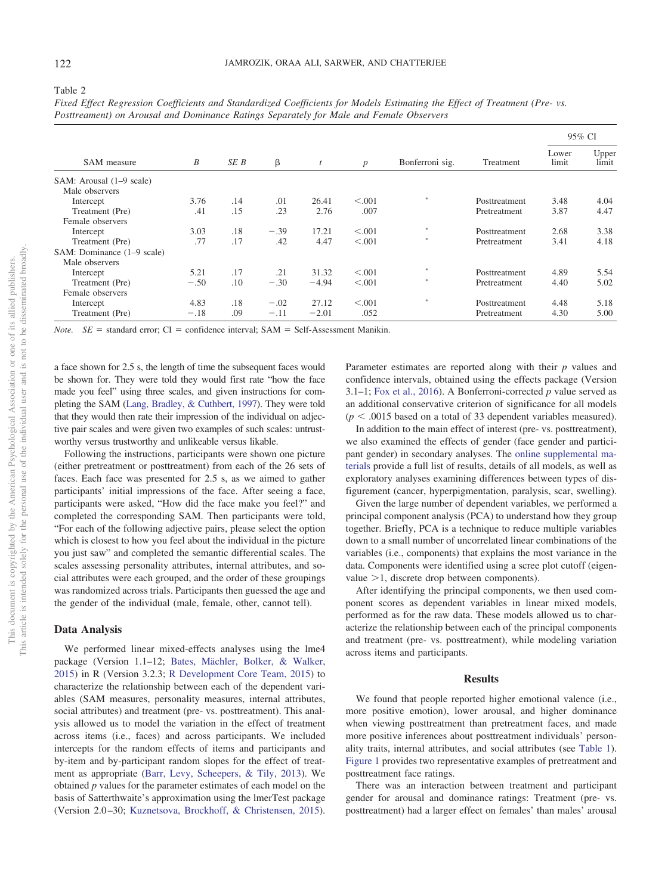|                            |        |      |        |         |                  |                 |               | 95% CI         |                |
|----------------------------|--------|------|--------|---------|------------------|-----------------|---------------|----------------|----------------|
| SAM measure                | B      | SE B | β      | t       | $\boldsymbol{p}$ | Bonferroni sig. | Treatment     | Lower<br>limit | Upper<br>limit |
| SAM: Arousal (1–9 scale)   |        |      |        |         |                  |                 |               |                |                |
| Male observers             |        |      |        |         |                  |                 |               |                |                |
| Intercept                  | 3.76   | .14  | .01    | 26.41   | < 0.001          | 28              | Posttreatment | 3.48           | 4.04           |
| Treatment (Pre)            | .41    | .15  | .23    | 2.76    | .007             |                 | Pretreatment  | 3.87           | 4.47           |
| Female observers           |        |      |        |         |                  |                 |               |                |                |
| Intercept                  | 3.03   | .18  | $-.39$ | 17.21   | < 0.001          | *               | Posttreatment | 2.68           | 3.38           |
| Treatment (Pre)            | .77    | .17  | .42    | 4.47    | < 0.001          | *               | Pretreatment  | 3.41           | 4.18           |
| SAM: Dominance (1–9 scale) |        |      |        |         |                  |                 |               |                |                |
| Male observers             |        |      |        |         |                  |                 |               |                |                |
| Intercept                  | 5.21   | .17  | .21    | 31.32   | < 0.001          | 28              | Posttreatment | 4.89           | 5.54           |
| Treatment (Pre)            | $-.50$ | .10  | $-.30$ | $-4.94$ | < 0.001          | *               | Pretreatment  | 4.40           | 5.02           |
| Female observers           |        |      |        |         |                  |                 |               |                |                |
| Intercept                  | 4.83   | .18  | $-.02$ | 27.12   | < 0.001          | $\approx$       | Posttreatment | 4.48           | 5.18           |
| Treatment (Pre)            | $-.18$ | .09  | $-.11$ | $-2.01$ | .052             |                 | Pretreatment  | 4.30           | 5.00           |

*Fixed Effect Regression Coefficients and Standardized Coefficients for Models Estimating the Effect of Treatment (Pre- vs. Posttreament) on Arousal and Dominance Ratings Separately for Male and Female Observers*

*Note.*  $SE$  = standard error;  $CI$  = confidence interval;  $SAM$  = Self-Assessment Manikin.

a face shown for 2.5 s, the length of time the subsequent faces would be shown for. They were told they would first rate "how the face made you feel" using three scales, and given instructions for completing the SAM [\(Lang, Bradley, & Cuthbert, 1997\)](#page-11-21). They were told that they would then rate their impression of the individual on adjective pair scales and were given two examples of such scales: untrustworthy versus trustworthy and unlikeable versus likable.

Following the instructions, participants were shown one picture (either pretreatment or posttreatment) from each of the 26 sets of faces. Each face was presented for 2.5 s, as we aimed to gather participants' initial impressions of the face. After seeing a face, participants were asked, "How did the face make you feel?" and completed the corresponding SAM. Then participants were told, "For each of the following adjective pairs, please select the option which is closest to how you feel about the individual in the picture you just saw" and completed the semantic differential scales. The scales assessing personality attributes, internal attributes, and social attributes were each grouped, and the order of these groupings was randomized across trials. Participants then guessed the age and the gender of the individual (male, female, other, cannot tell).

#### **Data Analysis**

We performed linear mixed-effects analyses using the lme4 package (Version 1.1–12; [Bates, Mächler, Bolker, & Walker,](#page-11-22) [2015\)](#page-11-22) in R (Version 3.2.3; [R Development Core Team, 2015\)](#page-12-14) to characterize the relationship between each of the dependent variables (SAM measures, personality measures, internal attributes, social attributes) and treatment (pre- vs. posttreatment). This analysis allowed us to model the variation in the effect of treatment across items (i.e., faces) and across participants. We included intercepts for the random effects of items and participants and by-item and by-participant random slopes for the effect of treatment as appropriate [\(Barr, Levy, Scheepers, & Tily, 2013\)](#page-11-23). We obtained *p* values for the parameter estimates of each model on the basis of Satterthwaite's approximation using the lmerTest package (Version 2.0 –30; [Kuznetsova, Brockhoff, & Christensen, 2015\)](#page-11-24). Parameter estimates are reported along with their *p* values and confidence intervals, obtained using the effects package (Version 3.1–1; [Fox et al., 2016\)](#page-11-25). A Bonferroni-corrected *p* value served as an additional conservative criterion of significance for all models  $(p < .0015$  based on a total of 33 dependent variables measured).

In addition to the main effect of interest (pre- vs. posttreatment), we also examined the effects of gender (face gender and participant gender) in secondary analyses. The [online supplemental ma](http://dx.doi.org/10.1037/aca0000147.supp)[terials](http://dx.doi.org/10.1037/aca0000147.supp) provide a full list of results, details of all models, as well as exploratory analyses examining differences between types of disfigurement (cancer, hyperpigmentation, paralysis, scar, swelling).

Given the large number of dependent variables, we performed a principal component analysis (PCA) to understand how they group together. Briefly, PCA is a technique to reduce multiple variables down to a small number of uncorrelated linear combinations of the variables (i.e., components) that explains the most variance in the data. Components were identified using a scree plot cutoff (eigenvalue  $>1$ , discrete drop between components).

After identifying the principal components, we then used component scores as dependent variables in linear mixed models, performed as for the raw data. These models allowed us to characterize the relationship between each of the principal components and treatment (pre- vs. posttreatment), while modeling variation across items and participants.

#### **Results**

We found that people reported higher emotional valence (i.e., more positive emotion), lower arousal, and higher dominance when viewing posttreatment than pretreatment faces, and made more positive inferences about posttreatment individuals' personality traits, internal attributes, and social attributes (see [Table 1\)](#page-3-0). [Figure 1](#page-2-0) provides two representative examples of pretreatment and posttreatment face ratings.

There was an interaction between treatment and participant gender for arousal and dominance ratings: Treatment (pre- vs. posttreatment) had a larger effect on females' than males' arousal

<span id="page-5-0"></span>Table 2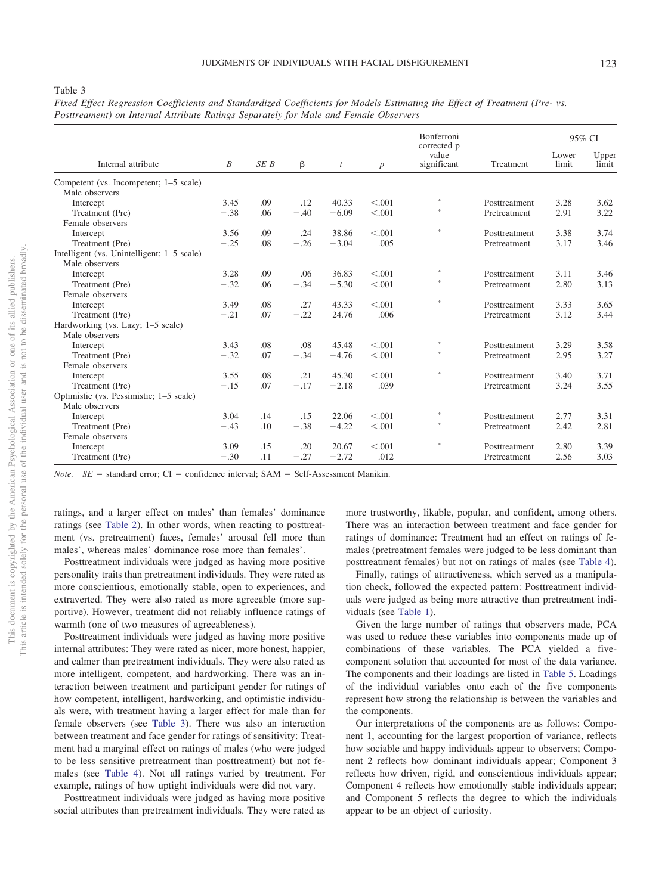<span id="page-6-0"></span>Table 3

| Fixed Effect Regression Coefficients and Standardized Coefficients for Models Estimating the Effect of Treatment (Pre- vs. |  |  |  |  |
|----------------------------------------------------------------------------------------------------------------------------|--|--|--|--|
| Posttreament) on Internal Attribute Ratings Separately for Male and Female Observers                                       |  |  |  |  |

|                                            |        |      |        |         |         | Bonferroni                          |               | 95% CI         |                |
|--------------------------------------------|--------|------|--------|---------|---------|-------------------------------------|---------------|----------------|----------------|
| Internal attribute                         | B      | SE B | β      | t       |         | corrected p<br>value<br>significant | Treatment     | Lower<br>limit | Upper<br>limit |
| Competent (vs. Incompetent; 1–5 scale)     |        |      |        |         |         |                                     |               |                |                |
| Male observers                             |        |      |        |         |         | $\frac{1}{2^k}$                     |               |                |                |
| Intercept                                  | 3.45   | .09  | .12    | 40.33   | < 0.001 |                                     | Posttreatment | 3.28           | 3.62           |
| Treatment (Pre)                            | $-.38$ | .06  | $-.40$ | $-6.09$ | < 0.001 |                                     | Pretreatment  | 2.91           | 3.22           |
| Female observers                           |        |      |        |         |         | $\frac{1}{200}$                     |               |                |                |
| Intercept                                  | 3.56   | .09  | .24    | 38.86   | < 0.001 |                                     | Posttreatment | 3.38           | 3.74           |
| Treatment (Pre)                            | $-.25$ | .08  | $-.26$ | $-3.04$ | .005    |                                     | Pretreatment  | 3.17           | 3.46           |
| Intelligent (vs. Unintelligent; 1–5 scale) |        |      |        |         |         |                                     |               |                |                |
| Male observers                             |        |      |        |         |         |                                     |               |                |                |
| Intercept                                  | 3.28   | .09  | .06    | 36.83   | < 0.001 | $\frac{1}{20}$                      | Posttreatment | 3.11           | 3.46           |
| Treatment (Pre)                            | $-.32$ | .06  | $-.34$ | $-5.30$ | < 0.001 | $\frac{1}{2}$                       | Pretreatment  | 2.80           | 3.13           |
| Female observers                           |        |      |        |         |         |                                     |               |                |                |
| Intercept                                  | 3.49   | .08  | .27    | 43.33   | < 0.001 | ş.                                  | Posttreatment | 3.33           | 3.65           |
| Treatment (Pre)                            | $-.21$ | .07  | $-.22$ | 24.76   | .006    |                                     | Pretreatment  | 3.12           | 3.44           |
| Hardworking (vs. Lazy; 1–5 scale)          |        |      |        |         |         |                                     |               |                |                |
| Male observers                             |        |      |        |         |         |                                     |               |                |                |
| Intercept                                  | 3.43   | .08  | .08    | 45.48   | < 0.001 | $\frac{1}{2}$                       | Posttreatment | 3.29           | 3.58           |
| Treatment (Pre)                            | $-.32$ | .07  | $-.34$ | $-4.76$ | < 0.001 |                                     | Pretreatment  | 2.95           | 3.27           |
| Female observers                           |        |      |        |         |         |                                     |               |                |                |
| Intercept                                  | 3.55   | .08  | .21    | 45.30   | < 0.001 | $\frac{1}{2^k}$                     | Posttreatment | 3.40           | 3.71           |
| Treatment (Pre)                            | $-.15$ | .07  | $-.17$ | $-2.18$ | .039    |                                     | Pretreatment  | 3.24           | 3.55           |
| Optimistic (vs. Pessimistic; 1-5 scale)    |        |      |        |         |         |                                     |               |                |                |
| Male observers                             |        |      |        |         |         |                                     |               |                |                |
| Intercept                                  | 3.04   | .14  | .15    | 22.06   | < 0.001 | 宗                                   | Posttreatment | 2.77           | 3.31           |
| Treatment (Pre)                            | $-.43$ | .10  | $-.38$ | $-4.22$ | < 0.001 |                                     | Pretreatment  | 2.42           | 2.81           |
| Female observers                           |        |      |        |         |         |                                     |               |                |                |
| Intercept                                  | 3.09   | .15  | .20    | 20.67   | < 0.001 |                                     | Posttreatment | 2.80           | 3.39           |
| Treatment (Pre)                            | $-.30$ | .11  | $-.27$ | $-2.72$ | .012    |                                     | Pretreatment  | 2.56           | 3.03           |

*Note.*  $SE$  = standard error;  $CI$  = confidence interval;  $SAM$  = Self-Assessment Manikin.

ratings, and a larger effect on males' than females' dominance ratings (see [Table 2\)](#page-5-0). In other words, when reacting to posttreatment (vs. pretreatment) faces, females' arousal fell more than males', whereas males' dominance rose more than females'.

Posttreatment individuals were judged as having more positive personality traits than pretreatment individuals. They were rated as more conscientious, emotionally stable, open to experiences, and extraverted. They were also rated as more agreeable (more supportive). However, treatment did not reliably influence ratings of warmth (one of two measures of agreeableness).

Posttreatment individuals were judged as having more positive internal attributes: They were rated as nicer, more honest, happier, and calmer than pretreatment individuals. They were also rated as more intelligent, competent, and hardworking. There was an interaction between treatment and participant gender for ratings of how competent, intelligent, hardworking, and optimistic individuals were, with treatment having a larger effect for male than for female observers (see [Table 3\)](#page-6-0). There was also an interaction between treatment and face gender for ratings of sensitivity: Treatment had a marginal effect on ratings of males (who were judged to be less sensitive pretreatment than posttreatment) but not females (see [Table 4\)](#page-7-0). Not all ratings varied by treatment. For example, ratings of how uptight individuals were did not vary.

Posttreatment individuals were judged as having more positive social attributes than pretreatment individuals. They were rated as more trustworthy, likable, popular, and confident, among others. There was an interaction between treatment and face gender for ratings of dominance: Treatment had an effect on ratings of females (pretreatment females were judged to be less dominant than posttreatment females) but not on ratings of males (see [Table 4\)](#page-7-0).

Finally, ratings of attractiveness, which served as a manipulation check, followed the expected pattern: Posttreatment individuals were judged as being more attractive than pretreatment individuals (see [Table 1\)](#page-3-0).

Given the large number of ratings that observers made, PCA was used to reduce these variables into components made up of combinations of these variables. The PCA yielded a fivecomponent solution that accounted for most of the data variance. The components and their loadings are listed in [Table 5.](#page-8-0) Loadings of the individual variables onto each of the five components represent how strong the relationship is between the variables and the components.

Our interpretations of the components are as follows: Component 1, accounting for the largest proportion of variance, reflects how sociable and happy individuals appear to observers; Component 2 reflects how dominant individuals appear; Component 3 reflects how driven, rigid, and conscientious individuals appear; Component 4 reflects how emotionally stable individuals appear; and Component 5 reflects the degree to which the individuals appear to be an object of curiosity.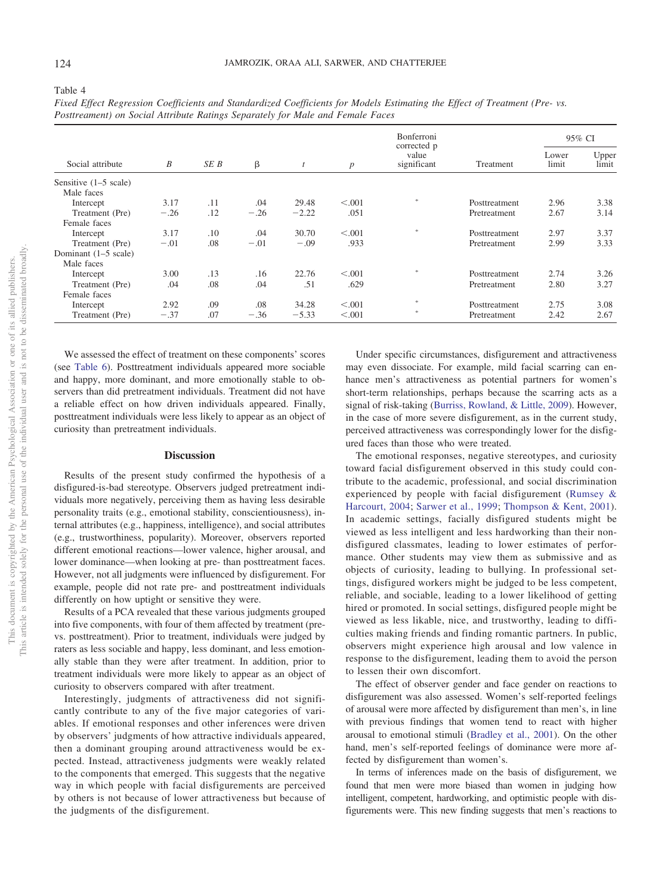|                                 |        |      |        |         |         | <b>Bonferroni</b><br>corrected p |               | 95% CI         |                |
|---------------------------------|--------|------|--------|---------|---------|----------------------------------|---------------|----------------|----------------|
| Social attribute                | B      | SE B | β      |         | p       | value<br>significant             | Treatment     | Lower<br>limit | Upper<br>limit |
| Sensitive $(1-5 \text{ scale})$ |        |      |        |         |         |                                  |               |                |                |
| Male faces                      |        |      |        |         |         |                                  |               |                |                |
| Intercept                       | 3.17   | .11  | .04    | 29.48   | < 0.001 | $\mathcal{D}$                    | Posttreatment | 2.96           | 3.38           |
| Treatment (Pre)                 | $-.26$ | .12  | $-.26$ | $-2.22$ | .051    |                                  | Pretreatment  | 2.67           | 3.14           |
| Female faces                    |        |      |        |         |         |                                  |               |                |                |
| Intercept                       | 3.17   | .10  | .04    | 30.70   | < 0.001 | 宋                                | Posttreatment | 2.97           | 3.37           |
| Treatment (Pre)                 | $-.01$ | .08  | $-.01$ | $-.09$  | .933    |                                  | Pretreatment  | 2.99           | 3.33           |
| Dominant (1–5 scale)            |        |      |        |         |         |                                  |               |                |                |
| Male faces                      |        |      |        |         |         |                                  |               |                |                |
| Intercept                       | 3.00   | .13  | .16    | 22.76   | < 0.001 | $\mathcal{D}$                    | Posttreatment | 2.74           | 3.26           |
| Treatment (Pre)                 | .04    | .08  | .04    | .51     | .629    |                                  | Pretreatment  | 2.80           | 3.27           |
| Female faces                    |        |      |        |         |         |                                  |               |                |                |
| Intercept                       | 2.92   | .09  | .08    | 34.28   | < 0.001 | $\frac{1}{2}k$                   | Posttreatment | 2.75           | 3.08           |
| Treatment (Pre)                 | $-.37$ | .07  | $-.36$ | $-5.33$ | < 0.001 | 宋                                | Pretreatment  | 2.42           | 2.67           |

*Fixed Effect Regression Coefficients and Standardized Coefficients for Models Estimating the Effect of Treatment (Pre- vs. Posttreament) on Social Attribute Ratings Separately for Male and Female Faces*

We assessed the effect of treatment on these components' scores (see [Table 6\)](#page-10-5). Posttreatment individuals appeared more sociable and happy, more dominant, and more emotionally stable to observers than did pretreatment individuals. Treatment did not have a reliable effect on how driven individuals appeared. Finally, posttreatment individuals were less likely to appear as an object of curiosity than pretreatment individuals.

#### **Discussion**

Results of the present study confirmed the hypothesis of a disfigured-is-bad stereotype. Observers judged pretreatment individuals more negatively, perceiving them as having less desirable personality traits (e.g., emotional stability, conscientiousness), internal attributes (e.g., happiness, intelligence), and social attributes (e.g., trustworthiness, popularity). Moreover, observers reported different emotional reactions—lower valence, higher arousal, and lower dominance—when looking at pre- than posttreatment faces. However, not all judgments were influenced by disfigurement. For example, people did not rate pre- and posttreatment individuals differently on how uptight or sensitive they were.

Results of a PCA revealed that these various judgments grouped into five components, with four of them affected by treatment (prevs. posttreatment). Prior to treatment, individuals were judged by raters as less sociable and happy, less dominant, and less emotionally stable than they were after treatment. In addition, prior to treatment individuals were more likely to appear as an object of curiosity to observers compared with after treatment.

Interestingly, judgments of attractiveness did not significantly contribute to any of the five major categories of variables. If emotional responses and other inferences were driven by observers' judgments of how attractive individuals appeared, then a dominant grouping around attractiveness would be expected. Instead, attractiveness judgments were weakly related to the components that emerged. This suggests that the negative way in which people with facial disfigurements are perceived by others is not because of lower attractiveness but because of the judgments of the disfigurement.

Under specific circumstances, disfigurement and attractiveness may even dissociate. For example, mild facial scarring can enhance men's attractiveness as potential partners for women's short-term relationships, perhaps because the scarring acts as a signal of risk-taking [\(Burriss, Rowland, & Little, 2009\)](#page-11-26). However, in the case of more severe disfigurement, as in the current study, perceived attractiveness was correspondingly lower for the disfigured faces than those who were treated.

The emotional responses, negative stereotypes, and curiosity toward facial disfigurement observed in this study could contribute to the academic, professional, and social discrimination experienced by people with facial disfigurement [\(Rumsey &](#page-12-1) [Harcourt, 2004;](#page-12-1) [Sarwer et al., 1999;](#page-12-5) [Thompson & Kent, 2001\)](#page-12-2). In academic settings, facially disfigured students might be viewed as less intelligent and less hardworking than their nondisfigured classmates, leading to lower estimates of performance. Other students may view them as submissive and as objects of curiosity, leading to bullying. In professional settings, disfigured workers might be judged to be less competent, reliable, and sociable, leading to a lower likelihood of getting hired or promoted. In social settings, disfigured people might be viewed as less likable, nice, and trustworthy, leading to difficulties making friends and finding romantic partners. In public, observers might experience high arousal and low valence in response to the disfigurement, leading them to avoid the person to lessen their own discomfort.

The effect of observer gender and face gender on reactions to disfigurement was also assessed. Women's self-reported feelings of arousal were more affected by disfigurement than men's, in line with previous findings that women tend to react with higher arousal to emotional stimuli [\(Bradley et al., 2001\)](#page-11-14). On the other hand, men's self-reported feelings of dominance were more affected by disfigurement than women's.

In terms of inferences made on the basis of disfigurement, we found that men were more biased than women in judging how intelligent, competent, hardworking, and optimistic people with disfigurements were. This new finding suggests that men's reactions to

<span id="page-7-0"></span>Table 4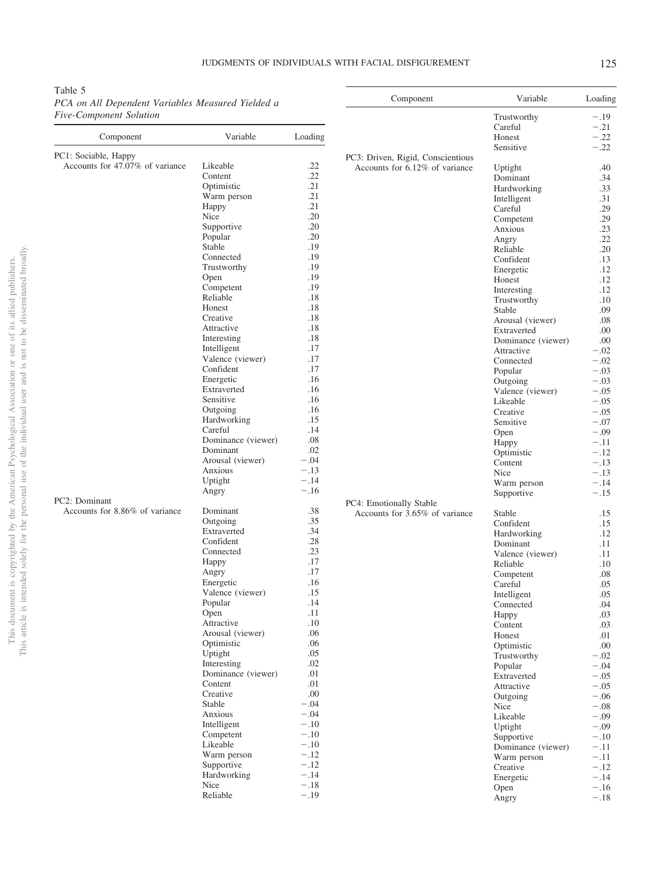# JUDGMENTS OF INDIVIDUALS WITH FACIAL DISFIGUREMENT 125

 $\frac{1}{2}$ 

<span id="page-8-0"></span>Table 5 *PCA on All Dependent Variables Measured Yielded a Five-Component Solution*

| Component                                               | Variable                      | Loading          |
|---------------------------------------------------------|-------------------------------|------------------|
|                                                         |                               |                  |
| PC1: Sociable, Happy<br>Accounts for 47.07% of variance | Likeable                      | .22              |
|                                                         | Content                       | .22              |
|                                                         | Optimistic                    | .21              |
|                                                         | Warm person                   | .21              |
|                                                         | Happy<br>Nice                 | .21<br>.20       |
|                                                         | Supportive                    | .20              |
|                                                         | Popular                       | .20              |
|                                                         | Stable                        | .19              |
|                                                         | Connected                     | .19              |
|                                                         | Trustworthy                   | .19              |
|                                                         | Open                          | .19              |
|                                                         | Competent<br>Reliable         | .19<br>.18       |
|                                                         | Honest                        | .18              |
|                                                         | Creative                      | .18              |
|                                                         | Attractive                    | .18              |
|                                                         | Interesting                   | .18              |
|                                                         | Intelligent                   | .17              |
|                                                         | Valence (viewer)              | .17              |
|                                                         | Confident<br>Energetic        | .17<br>.16       |
|                                                         | Extraverted                   | .16              |
|                                                         | Sensitive                     | .16              |
|                                                         | Outgoing                      | .16              |
|                                                         | Hardworking                   | .15              |
|                                                         | Careful                       | .14              |
|                                                         | Dominance (viewer)            | .08              |
|                                                         | Dominant<br>Arousal (viewer)  | .02<br>$-.04$    |
|                                                         | Anxious                       | $-.13$           |
|                                                         | Uptight                       | $-.14$           |
|                                                         | Angry                         | $-.16$           |
| PC2: Dominant                                           |                               |                  |
| Accounts for 8.86% of variance                          | Dominant<br>Outgoing          | .38<br>.35       |
|                                                         | Extraverted                   | .34              |
|                                                         | Confident                     | .28              |
|                                                         | Connected                     | .23              |
|                                                         | Happy                         | .17              |
|                                                         | Angry                         | .17              |
|                                                         | Energetic                     | .16              |
|                                                         | Valence (viewer)<br>Popular   | .15<br>.14       |
|                                                         | Open                          | .11              |
|                                                         | Attractive                    | .10              |
|                                                         | Arousal (viewer)              | .06              |
|                                                         | Optimistic                    | .06              |
|                                                         | Uptight                       | .05              |
|                                                         | Interesting                   | .02              |
|                                                         | Dominance (viewer)<br>Content | .01<br>.01       |
|                                                         | Creative                      | .00              |
|                                                         | Stable                        | $-.04$           |
|                                                         | Anxious                       | $-.04$           |
|                                                         | Intelligent                   | $-.10$           |
|                                                         | Competent                     | $-.10$           |
|                                                         | Likeable                      | $-.10$           |
|                                                         | Warm person                   | $-.12$           |
|                                                         | Supportive<br>Hardworking     | $-.12$<br>$-.14$ |
|                                                         | Nice                          | $-.18$           |
|                                                         | Reliable                      | $-.19$           |
|                                                         |                               |                  |

| Component                         | Variable                     | Loading          |
|-----------------------------------|------------------------------|------------------|
|                                   | Trustworthy                  | $-.19$           |
|                                   | Careful                      | $-.21$           |
|                                   | Honest                       | $-.22$           |
| PC3: Driven, Rigid, Conscientious | Sensitive                    | $-.22$           |
| Accounts for 6.12% of variance    | Uptight                      | .40              |
|                                   | Dominant                     | .34              |
|                                   | Hardworking                  | .33              |
|                                   | Intelligent                  | .31              |
|                                   | Careful                      | .29              |
|                                   | Competent                    | .29              |
|                                   | Anxious<br>Angry             | .23<br>.22       |
|                                   | Reliable                     | .20              |
|                                   | Confident                    | .13              |
|                                   | Energetic                    | .12              |
|                                   | Honest                       | .12              |
|                                   | Interesting                  | .12              |
|                                   | Trustworthy                  | .10              |
|                                   | Stable<br>Arousal (viewer)   | .09<br>.08       |
|                                   | Extraverted                  | .00              |
|                                   | Dominance (viewer)           | .00              |
|                                   | Attractive                   | $-.02$           |
|                                   | Connected                    | $-.02$           |
|                                   | Popular                      | $-.03$           |
|                                   | Outgoing                     | $-.03$           |
|                                   | Valence (viewer)<br>Likeable | $-.05$<br>$-.05$ |
|                                   | Creative                     | $-.05$           |
|                                   | Sensitive                    | $-.07$           |
|                                   | Open                         | $-.09$           |
|                                   | Happy                        | $-.11$           |
|                                   | Optimistic                   | $-.12$           |
|                                   | Content<br>Nice              | $-.13$           |
|                                   | Warm person                  | $-.13$<br>$-.14$ |
|                                   | Supportive                   | $-.15$           |
| PC4: Emotionally Stable           |                              |                  |
| Accounts for 3.65% of variance    | Stable                       | .15              |
|                                   | Confident                    | .15              |
|                                   | Hardworking                  | .12              |
|                                   | Dominant<br>Valence (viewer) | .11<br>.11       |
|                                   | Reliable                     | .10              |
|                                   | Competent                    | .08              |
|                                   | Careful                      | .05              |
|                                   | Intelligent                  | .05              |
|                                   | Connected                    | .04              |
|                                   | Happy                        | .03<br>.03       |
|                                   | Content<br>Honest            | .01              |
|                                   | Optimistic                   | .00              |
|                                   | Trustworthy                  | $-.02$           |
|                                   | Popular                      | $-.04$           |
|                                   | Extraverted                  | $-.05$           |
|                                   | Attractive                   | $-.05$           |
|                                   | Outgoing<br>Nice             | $-.06$<br>$-.08$ |
|                                   | Likeable                     | $-.09$           |
|                                   | Uptight                      | $-.09$           |
|                                   | Supportive                   | $-.10$           |
|                                   | Dominance (viewer)           | $-.11$           |
|                                   | Warm person                  | $-.11$           |
|                                   | Creative                     | $-.12$           |
|                                   | Energetic<br>Open            | $-.14$<br>$-.16$ |
|                                   | Angry                        | $-.18$           |
|                                   |                              |                  |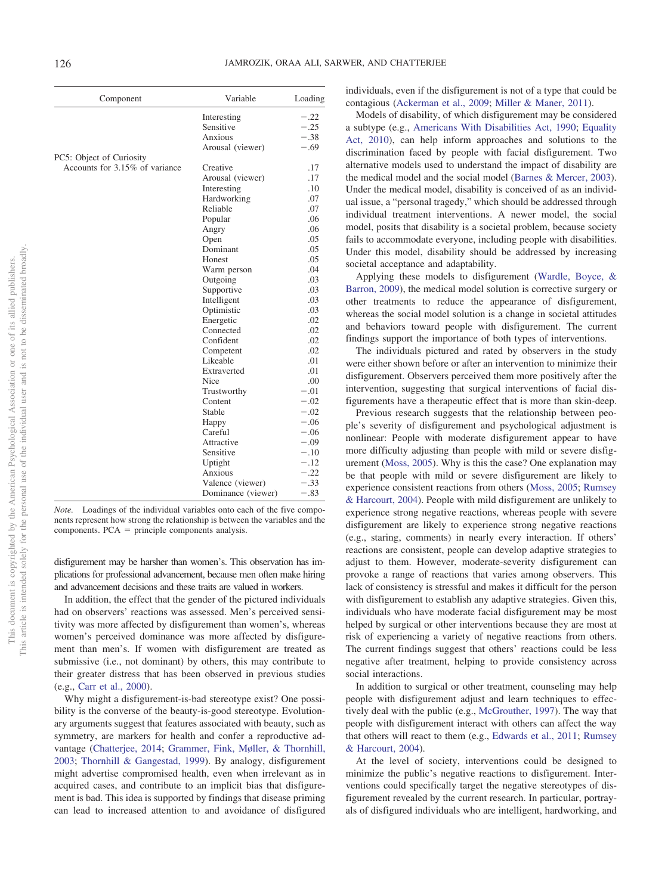| Component                      | Variable           | Loading |
|--------------------------------|--------------------|---------|
|                                | Interesting        | $-.22$  |
|                                | Sensitive          | $-.25$  |
|                                | Anxious            | $-.38$  |
|                                | Arousal (viewer)   | $-.69$  |
| PC5: Object of Curiosity       |                    |         |
| Accounts for 3.15% of variance | Creative           | .17     |
|                                | Arousal (viewer)   | .17     |
|                                | Interesting        | .10     |
|                                | Hardworking        | .07     |
|                                | Reliable           | .07     |
|                                | Popular            | .06     |
|                                | Angry              | .06     |
|                                | Open               | .05     |
|                                | Dominant           | .05     |
|                                | Honest             | .05     |
|                                | Warm person        | .04     |
|                                | Outgoing           | .03     |
|                                | Supportive         | .03     |
|                                | Intelligent        | .03     |
|                                | Optimistic         | .03     |
|                                | Energetic          | .02     |
|                                | Connected          | .02     |
|                                | Confident          | .02     |
|                                | Competent          | .02     |
|                                | Likeable           | .01     |
|                                | Extraverted        | .01     |
|                                | Nice               | .00     |
|                                | Trustworthy        | $-.01$  |
|                                | Content            | $-.02$  |
|                                | Stable             | $-.02$  |
|                                | Happy              | $-.06$  |
|                                | Careful            | $-.06$  |
|                                | Attractive         | $-.09$  |
|                                | Sensitive          | $-.10$  |
|                                | Uptight            | $-.12$  |
|                                | Anxious            | $-.22$  |
|                                | Valence (viewer)   | $-.33$  |
|                                | Dominance (viewer) | $-.83$  |

*Note.* Loadings of the individual variables onto each of the five components represent how strong the relationship is between the variables and the  $components. PCA = principle components$  analysis.

disfigurement may be harsher than women's. This observation has implications for professional advancement, because men often make hiring and advancement decisions and these traits are valued in workers.

In addition, the effect that the gender of the pictured individuals had on observers' reactions was assessed. Men's perceived sensitivity was more affected by disfigurement than women's, whereas women's perceived dominance was more affected by disfigurement than men's. If women with disfigurement are treated as submissive (i.e., not dominant) by others, this may contribute to their greater distress that has been observed in previous studies (e.g., [Carr et al., 2000\)](#page-11-12).

Why might a disfigurement-is-bad stereotype exist? One possibility is the converse of the beauty-is-good stereotype. Evolutionary arguments suggest that features associated with beauty, such as symmetry, are markers for health and confer a reproductive advantage [\(Chatterjee, 2014;](#page-11-27) [Grammer, Fink, Møller, & Thornhill,](#page-11-28) [2003;](#page-11-28) [Thornhill & Gangestad, 1999\)](#page-12-15). By analogy, disfigurement might advertise compromised health, even when irrelevant as in acquired cases, and contribute to an implicit bias that disfigurement is bad. This idea is supported by findings that disease priming can lead to increased attention to and avoidance of disfigured individuals, even if the disfigurement is not of a type that could be contagious [\(Ackerman et al., 2009;](#page-10-6) [Miller & Maner, 2011\)](#page-11-29).

Models of disability, of which disfigurement may be considered a subtype (e.g., [Americans With Disabilities Act, 1990;](#page-10-7) [Equality](#page-11-30) [Act, 2010\)](#page-11-30), can help inform approaches and solutions to the discrimination faced by people with facial disfigurement. Two alternative models used to understand the impact of disability are the medical model and the social model [\(Barnes & Mercer, 2003\)](#page-10-8). Under the medical model, disability is conceived of as an individual issue, a "personal tragedy," which should be addressed through individual treatment interventions. A newer model, the social model, posits that disability is a societal problem, because society fails to accommodate everyone, including people with disabilities. Under this model, disability should be addressed by increasing societal acceptance and adaptability.

Applying these models to disfigurement [\(Wardle, Boyce, &](#page-12-16) [Barron, 2009\)](#page-12-16), the medical model solution is corrective surgery or other treatments to reduce the appearance of disfigurement, whereas the social model solution is a change in societal attitudes and behaviors toward people with disfigurement. The current findings support the importance of both types of interventions.

The individuals pictured and rated by observers in the study were either shown before or after an intervention to minimize their disfigurement. Observers perceived them more positively after the intervention, suggesting that surgical interventions of facial disfigurements have a therapeutic effect that is more than skin-deep.

Previous research suggests that the relationship between people's severity of disfigurement and psychological adjustment is nonlinear: People with moderate disfigurement appear to have more difficulty adjusting than people with mild or severe disfigurement [\(Moss, 2005\)](#page-11-31). Why is this the case? One explanation may be that people with mild or severe disfigurement are likely to experience consistent reactions from others [\(Moss, 2005;](#page-11-31) [Rumsey](#page-12-1) [& Harcourt, 2004\)](#page-12-1). People with mild disfigurement are unlikely to experience strong negative reactions, whereas people with severe disfigurement are likely to experience strong negative reactions (e.g., staring, comments) in nearly every interaction. If others' reactions are consistent, people can develop adaptive strategies to adjust to them. However, moderate-severity disfigurement can provoke a range of reactions that varies among observers. This lack of consistency is stressful and makes it difficult for the person with disfigurement to establish any adaptive strategies. Given this, individuals who have moderate facial disfigurement may be most helped by surgical or other interventions because they are most at risk of experiencing a variety of negative reactions from others. The current findings suggest that others' reactions could be less negative after treatment, helping to provide consistency across social interactions.

In addition to surgical or other treatment, counseling may help people with disfigurement adjust and learn techniques to effectively deal with the public (e.g., [McGrouther, 1997\)](#page-11-32). The way that people with disfigurement interact with others can affect the way that others will react to them (e.g., [Edwards et al., 2011;](#page-11-19) [Rumsey](#page-12-1) [& Harcourt, 2004\)](#page-12-1).

At the level of society, interventions could be designed to minimize the public's negative reactions to disfigurement. Interventions could specifically target the negative stereotypes of disfigurement revealed by the current research. In particular, portrayals of disfigured individuals who are intelligent, hardworking, and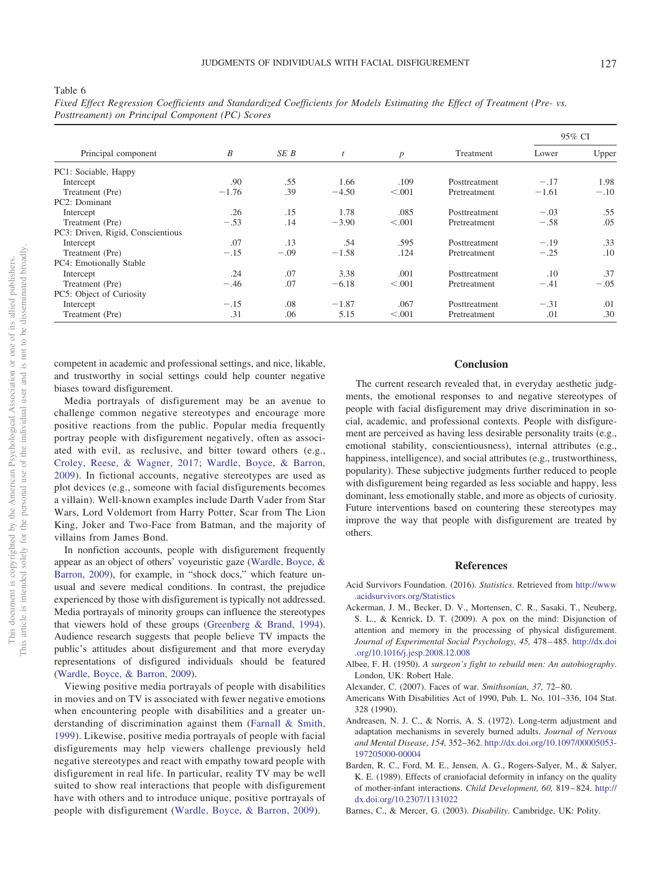|                                   |         |        |         |                  |               | 95% CI  |        |  |
|-----------------------------------|---------|--------|---------|------------------|---------------|---------|--------|--|
| Principal component               | B       | SE B   |         | $\boldsymbol{p}$ | Treatment     | Lower   | Upper  |  |
| PC1: Sociable, Happy              |         |        |         |                  |               |         |        |  |
| Intercept                         | .90     | .55    | 1.66    | .109             | Posttreatment | $-.17$  | 1.98   |  |
| Treatment (Pre)                   | $-1.76$ | .39    | $-4.50$ | < 0.001          | Pretreatment  | $-1.61$ | $-.10$ |  |
| PC2: Dominant                     |         |        |         |                  |               |         |        |  |
| Intercept                         | .26     | .15    | 1.78    | .085             | Posttreatment | $-.03$  | .55    |  |
| Treatment (Pre)                   | $-.53$  | .14    | $-3.90$ | < 0.001          | Pretreatment  | $-.58$  | .05    |  |
| PC3: Driven, Rigid, Conscientious |         |        |         |                  |               |         |        |  |
| Intercept                         | .07     | .13    | .54     | .595             | Posttreatment | $-.19$  | .33    |  |
| Treatment (Pre)                   | $-.15$  | $-.09$ | $-1.58$ | .124             | Pretreatment  | $-.25$  | .10    |  |
| PC4: Emotionally Stable           |         |        |         |                  |               |         |        |  |
| Intercept                         | .24     | .07    | 3.38    | .001             | Posttreatment | .10     | .37    |  |
| Treatment (Pre)                   | $-.46$  | .07    | $-6.18$ | < 0.001          | Pretreatment  | $-.41$  | $-.05$ |  |
| PC5: Object of Curiosity          |         |        |         |                  |               |         |        |  |
| Intercept                         | $-.15$  | .08    | $-1.87$ | .067             | Posttreatment | $-.31$  | .01    |  |
| Treatment (Pre)                   | .31     | .06    | 5.15    | < 0.001          | Pretreatment  | .01     | .30    |  |

<span id="page-10-5"></span>

| Fixed Effect Regression Coefficients and Standardized Coefficients for Models Estimating the Effect of Treatment (Pre-vs. |  |  |  |  |  |
|---------------------------------------------------------------------------------------------------------------------------|--|--|--|--|--|
| Posttreament) on Principal Component (PC) Scores                                                                          |  |  |  |  |  |

competent in academic and professional settings, and nice, likable, and trustworthy in social settings could help counter negative biases toward disfigurement.

Media portrayals of disfigurement may be an avenue to challenge common negative stereotypes and encourage more positive reactions from the public. Popular media frequently portray people with disfigurement negatively, often as associated with evil, as reclusive, and bitter toward others (e.g., [Croley, Reese, & Wagner, 2017;](#page-11-33) [Wardle, Boyce, & Barron,](#page-12-16) [2009\)](#page-12-16). In fictional accounts, negative stereotypes are used as plot devices (e.g., someone with facial disfigurements becomes a villain). Well-known examples include Darth Vader from Star Wars, Lord Voldemort from Harry Potter, Scar from The Lion King, Joker and Two-Face from Batman, and the majority of villains from James Bond.

In nonfiction accounts, people with disfigurement frequently appear as an object of others' voyeuristic gaze [\(Wardle, Boyce, &](#page-12-16) [Barron, 2009\)](#page-12-16), for example, in "shock docs," which feature unusual and severe medical conditions. In contrast, the prejudice experienced by those with disfigurement is typically not addressed. Media portrayals of minority groups can influence the stereotypes that viewers hold of these groups [\(Greenberg & Brand, 1994\)](#page-11-34). Audience research suggests that people believe TV impacts the public's attitudes about disfigurement and that more everyday representations of disfigured individuals should be featured [\(Wardle, Boyce, & Barron, 2009\)](#page-12-16).

Viewing positive media portrayals of people with disabilities in movies and on TV is associated with fewer negative emotions when encountering people with disabilities and a greater understanding of discrimination against them [\(Farnall & Smith,](#page-11-35) [1999\)](#page-11-35). Likewise, positive media portrayals of people with facial disfigurements may help viewers challenge previously held negative stereotypes and react with empathy toward people with disfigurement in real life. In particular, reality TV may be well suited to show real interactions that people with disfigurement have with others and to introduce unique, positive portrayals of people with disfigurement [\(Wardle, Boyce, & Barron, 2009\)](#page-12-16).

# **Conclusion**

The current research revealed that, in everyday aesthetic judgments, the emotional responses to and negative stereotypes of people with facial disfigurement may drive discrimination in social, academic, and professional contexts. People with disfigurement are perceived as having less desirable personality traits (e.g., emotional stability, conscientiousness), internal attributes (e.g., happiness, intelligence), and social attributes (e.g., trustworthiness, popularity). These subjective judgments further reduced to people with disfigurement being regarded as less sociable and happy, less dominant, less emotionally stable, and more as objects of curiosity. Future interventions based on countering these stereotypes may improve the way that people with disfigurement are treated by others.

#### **References**

- <span id="page-10-2"></span>Acid Survivors Foundation. (2016). *Statistics*. Retrieved from [http://www](http://www.acidsurvivors.org/Statistics) [.acidsurvivors.org/Statistics](http://www.acidsurvivors.org/Statistics)
- <span id="page-10-6"></span>Ackerman, J. M., Becker, D. V., Mortensen, C. R., Sasaki, T., Neuberg, S. L., & Kenrick, D. T. (2009). A pox on the mind: Disjunction of attention and memory in the processing of physical disfigurement. *Journal of Experimental Social Psychology, 45,* 478 – 485. [http://dx.doi](http://dx.doi.org/10.1016/j.jesp.2008.12.008) [.org/10.1016/j.jesp.2008.12.008](http://dx.doi.org/10.1016/j.jesp.2008.12.008)
- <span id="page-10-1"></span>Albee, F. H. (1950). *A surgeon's fight to rebuild men: An autobiography*. London, UK: Robert Hale.
- <span id="page-10-7"></span><span id="page-10-0"></span>Alexander, C. (2007). Faces of war. *Smithsonian, 37,* 72– 80.
- Americans With Disabilities Act of 1990, Pub. L. No. 101–336, 104 Stat. 328 (1990).
- <span id="page-10-4"></span>Andreasen, N. J. C., & Norris, A. S. (1972). Long-term adjustment and adaptation mechanisms in severely burned adults. *Journal of Nervous and Mental Disease, 154,* 352–362. [http://dx.doi.org/10.1097/00005053-](http://dx.doi.org/10.1097/00005053-197205000-00004) [197205000-00004](http://dx.doi.org/10.1097/00005053-197205000-00004)
- <span id="page-10-3"></span>Barden, R. C., Ford, M. E., Jensen, A. G., Rogers-Salyer, M., & Salyer, K. E. (1989). Effects of craniofacial deformity in infancy on the quality of mother-infant interactions. *Child Development, 60,* 819 – 824. [http://](http://dx.doi.org/10.2307/1131022) [dx.doi.org/10.2307/1131022](http://dx.doi.org/10.2307/1131022)
- <span id="page-10-8"></span>Barnes, C., & Mercer, G. (2003). *Disability*. Cambridge, UK: Polity.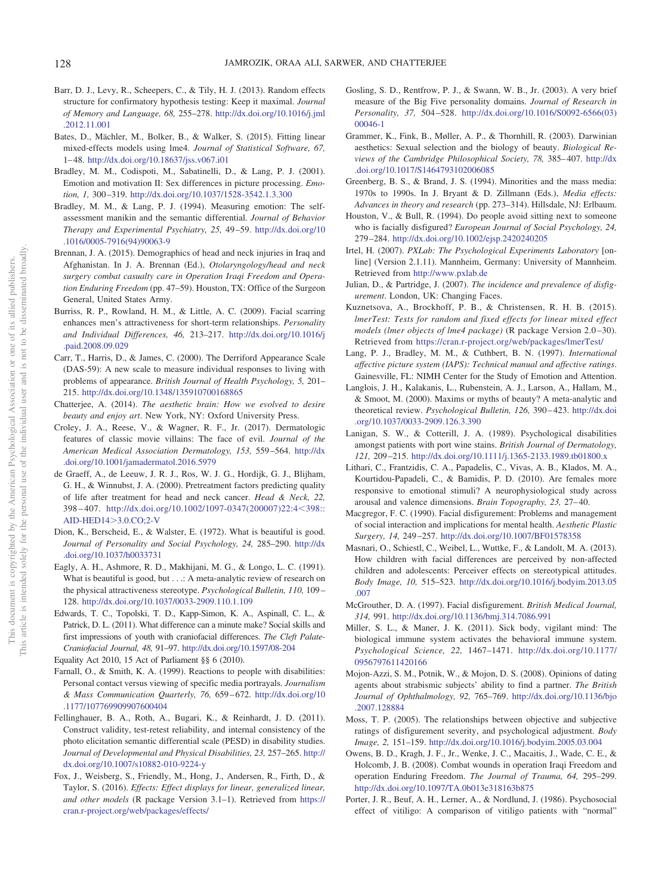- <span id="page-11-23"></span>Barr, D. J., Levy, R., Scheepers, C., & Tily, H. J. (2013). Random effects structure for confirmatory hypothesis testing: Keep it maximal. *Journal of Memory and Language, 68,* 255–278. [http://dx.doi.org/10.1016/j.jml](http://dx.doi.org/10.1016/j.jml.2012.11.001) [.2012.11.001](http://dx.doi.org/10.1016/j.jml.2012.11.001)
- <span id="page-11-22"></span>Bates, D., Mächler, M., Bolker, B., & Walker, S. (2015). Fitting linear mixed-effects models using lme4. *Journal of Statistical Software, 67,* 1– 48. <http://dx.doi.org/10.18637/jss.v067.i01>
- <span id="page-11-14"></span>Bradley, M. M., Codispoti, M., Sabatinelli, D., & Lang, P. J. (2001). Emotion and motivation II: Sex differences in picture processing. *Emotion, 1,* 300 –319. <http://dx.doi.org/10.1037/1528-3542.1.3.300>
- <span id="page-11-16"></span>Bradley, M. M., & Lang, P. J. (1994). Measuring emotion: The selfassessment manikin and the semantic differential. *Journal of Behavior Therapy and Experimental Psychiatry, 25,* 49 –59. [http://dx.doi.org/10](http://dx.doi.org/10.1016/0005-7916%2894%2990063-9) [.1016/0005-7916\(94\)90063-9](http://dx.doi.org/10.1016/0005-7916%2894%2990063-9)
- <span id="page-11-4"></span>Brennan, J. A. (2015). Demographics of head and neck injuries in Iraq and Afghanistan. In J. A. Brennan (Ed.), *Otolaryngology/head and neck surgery combat casualty care in Operation Iraqi Freedom and Operation Enduring Freedom* (pp. 47–59). Houston, TX: Office of the Surgeon General, United States Army.
- <span id="page-11-26"></span>Burriss, R. P., Rowland, H. M., & Little, A. C. (2009). Facial scarring enhances men's attractiveness for short-term relationships. *Personality and Individual Differences, 46,* 213–217. [http://dx.doi.org/10.1016/j](http://dx.doi.org/10.1016/j.paid.2008.09.029) [.paid.2008.09.029](http://dx.doi.org/10.1016/j.paid.2008.09.029)
- <span id="page-11-12"></span>Carr, T., Harris, D., & James, C. (2000). The Derriford Appearance Scale (DAS-59): A new scale to measure individual responses to living with problems of appearance. *British Journal of Health Psychology, 5,* 201– 215. <http://dx.doi.org/10.1348/135910700168865>
- <span id="page-11-27"></span>Chatterjee, A. (2014). *The aesthetic brain: How we evolved to desire beauty and enjoy art*. New York, NY: Oxford University Press.
- <span id="page-11-33"></span>Croley, J. A., Reese, V., & Wagner, R. F., Jr. (2017). Dermatologic features of classic movie villains: The face of evil. *Journal of the American Medical Association Dermatology, 153,* 559 –564. [http://dx](http://dx.doi.org/10.1001/jamadermatol.2016.5979) [.doi.org/10.1001/jamadermatol.2016.5979](http://dx.doi.org/10.1001/jamadermatol.2016.5979)
- <span id="page-11-13"></span>de Graeff, A., de Leeuw, J. R. J., Ros, W. J. G., Hordijk, G. J., Blijham, G. H., & Winnubst, J. A. (2000). Pretreatment factors predicting quality of life after treatment for head and neck cancer. *Head & Neck, 22,* 398-407. [http://dx.doi.org/10.1002/1097-0347\(200007\)22:4](http://dx.doi.org/10.1002/1097-0347%28200007%2922:4%3C398::AID-HED14%3E3.0.CO;2-V)<398:: [AID-HED14](http://dx.doi.org/10.1002/1097-0347%28200007%2922:4%3C398::AID-HED14%3E3.0.CO;2-V)3.0.CO;2-V
- <span id="page-11-0"></span>Dion, K., Berscheid, E., & Walster, E. (1972). What is beautiful is good. *Journal of Personality and Social Psychology, 24,* 285–290. [http://dx](http://dx.doi.org/10.1037/h0033731) [.doi.org/10.1037/h0033731](http://dx.doi.org/10.1037/h0033731)
- <span id="page-11-1"></span>Eagly, A. H., Ashmore, R. D., Makhijani, M. G., & Longo, L. C. (1991). What is beautiful is good, but . . .: A meta-analytic review of research on the physical attractiveness stereotype. *Psychological Bulletin, 110,* 109 – 128. <http://dx.doi.org/10.1037/0033-2909.110.1.109>
- <span id="page-11-19"></span>Edwards, T. C., Topolski, T. D., Kapp-Simon, K. A., Aspinall, C. L., & Patrick, D. L. (2011). What difference can a minute make? Social skills and first impressions of youth with craniofacial differences. *The Cleft Palate-Craniofacial Journal, 48,* 91–97. <http://dx.doi.org/10.1597/08-204>

<span id="page-11-35"></span><span id="page-11-30"></span>Equality Act 2010, 15 Act of Parliament §§ 6 (2010).

- Farnall, O., & Smith, K. A. (1999). Reactions to people with disabilities: Personal contact versus viewing of specific media portrayals. *Journalism & Mass Communication Quarterly, 76,* 659 – 672. [http://dx.doi.org/10](http://dx.doi.org/10.1177/107769909907600404) [.1177/107769909907600404](http://dx.doi.org/10.1177/107769909907600404)
- <span id="page-11-20"></span>Fellinghauer, B. A., Roth, A., Bugari, K., & Reinhardt, J. D. (2011). Construct validity, test-retest reliability, and internal consistency of the photo elicitation semantic differential scale (PESD) in disability studies. *Journal of Developmental and Physical Disabilities, 23,* 257–265. [http://](http://dx.doi.org/10.1007/s10882-010-9224-y) [dx.doi.org/10.1007/s10882-010-9224-y](http://dx.doi.org/10.1007/s10882-010-9224-y)
- <span id="page-11-25"></span>Fox, J., Weisberg, S., Friendly, M., Hong, J., Andersen, R., Firth, D., & Taylor, S. (2016). *Effects: Effect displays for linear, generalized linear, and other models* (R package Version 3.1–1). Retrieved from [https://](https://cran.r-project.org/web/packages/effects/) [cran.r-project.org/web/packages/effects/](https://cran.r-project.org/web/packages/effects/)
- <span id="page-11-18"></span>Gosling, S. D., Rentfrow, P. J., & Swann, W. B., Jr. (2003). A very brief measure of the Big Five personality domains. *Journal of Research in Personality, 37,* 504 –528. [http://dx.doi.org/10.1016/S0092-6566\(03\)](http://dx.doi.org/10.1016/S0092-6566%2803%2900046-1) [00046-1](http://dx.doi.org/10.1016/S0092-6566%2803%2900046-1)
- <span id="page-11-28"></span>Grammer, K., Fink, B., Møller, A. P., & Thornhill, R. (2003). Darwinian aesthetics: Sexual selection and the biology of beauty. *Biological Reviews of the Cambridge Philosophical Society, 78,* 385– 407. [http://dx](http://dx.doi.org/10.1017/S1464793102006085) [.doi.org/10.1017/S1464793102006085](http://dx.doi.org/10.1017/S1464793102006085)
- <span id="page-11-34"></span>Greenberg, B. S., & Brand, J. S. (1994). Minorities and the mass media: 1970s to 1990s. In J. Bryant & D. Zillmann (Eds.), *Media effects: Advances in theory and research* (pp. 273–314). Hillsdale, NJ: Erlbaum.
- <span id="page-11-8"></span>Houston, V., & Bull, R. (1994). Do people avoid sitting next to someone who is facially disfigured? *European Journal of Social Psychology, 24,* 279 –284. <http://dx.doi.org/10.1002/ejsp.2420240205>
- <span id="page-11-17"></span>Irtel, H. (2007). *PXLab: The Psychological Experiments Laboratory* [online] (Version 2.1.11). Mannheim, Germany: University of Mannheim. Retrieved from <http://www.pxlab.de>
- <span id="page-11-3"></span>Julian, D., & Partridge, J. (2007). *The incidence and prevalence of disfigurement*. London, UK: Changing Faces.
- <span id="page-11-24"></span>Kuznetsova, A., Brockhoff, P. B., & Christensen, R. H. B. (2015). *lmerTest: Tests for random and fixed effects for linear mixed effect models (lmer objects of lme4 package)* (R package Version 2.0 –30). Retrieved from <https://cran.r-project.org/web/packages/lmerTest/>
- <span id="page-11-21"></span>Lang, P. J., Bradley, M. M., & Cuthbert, B. N. (1997). *International affective picture system (IAPS): Technical manual and affective ratings*. Gainesville, FL: NIMH Center for the Study of Emotion and Attention.
- <span id="page-11-2"></span>Langlois, J. H., Kalakanis, L., Rubenstein, A. J., Larson, A., Hallam, M., & Smoot, M. (2000). Maxims or myths of beauty? A meta-analytic and theoretical review. *Psychological Bulletin, 126,* 390 – 423. [http://dx.doi](http://dx.doi.org/10.1037/0033-2909.126.3.390) [.org/10.1037/0033-2909.126.3.390](http://dx.doi.org/10.1037/0033-2909.126.3.390)
- <span id="page-11-6"></span>Lanigan, S. W., & Cotterill, J. A. (1989). Psychological disabilities amongst patients with port wine stains. *British Journal of Dermatology, 121,* 209 –215. <http://dx.doi.org/10.1111/j.1365-2133.1989.tb01800.x>
- <span id="page-11-15"></span>Lithari, C., Frantzidis, C. A., Papadelis, C., Vivas, A. B., Klados, M. A., Kourtidou-Papadeli, C., & Bamidis, P. D. (2010). Are females more responsive to emotional stimuli? A neurophysiological study across arousal and valence dimensions. *Brain Topography, 23,* 27– 40.
- <span id="page-11-9"></span>Macgregor, F. C. (1990). Facial disfigurement: Problems and management of social interaction and implications for mental health. *Aesthetic Plastic Surgery, 14,* 249 –257. <http://dx.doi.org/10.1007/BF01578358>
- <span id="page-11-10"></span>Masnari, O., Schiestl, C., Weibel, L., Wuttke, F., & Landolt, M. A. (2013). How children with facial differences are perceived by non-affected children and adolescents: Perceiver effects on stereotypical attitudes. *Body Image, 10,* 515–523. [http://dx.doi.org/10.1016/j.bodyim.2013.05](http://dx.doi.org/10.1016/j.bodyim.2013.05.007) [.007](http://dx.doi.org/10.1016/j.bodyim.2013.05.007)
- <span id="page-11-32"></span>McGrouther, D. A. (1997). Facial disfigurement. *British Medical Journal, 314,* 991. <http://dx.doi.org/10.1136/bmj.314.7086.991>
- <span id="page-11-29"></span>Miller, S. L., & Maner, J. K. (2011). Sick body, vigilant mind: The biological immune system activates the behavioral immune system. *Psychological Science, 22,* 1467–1471. [http://dx.doi.org/10.1177/](http://dx.doi.org/10.1177/0956797611420166) [0956797611420166](http://dx.doi.org/10.1177/0956797611420166)
- <span id="page-11-11"></span>Mojon-Azzi, S. M., Potnik, W., & Mojon, D. S. (2008). Opinions of dating agents about strabismic subjects' ability to find a partner. *The British Journal of Ophthalmology, 92,* 765–769. [http://dx.doi.org/10.1136/bjo](http://dx.doi.org/10.1136/bjo.2007.128884) [.2007.128884](http://dx.doi.org/10.1136/bjo.2007.128884)
- <span id="page-11-31"></span>Moss, T. P. (2005). The relationships between objective and subjective ratings of disfigurement severity, and psychological adjustment. *Body Image, 2,* 151–159. <http://dx.doi.org/10.1016/j.bodyim.2005.03.004>
- <span id="page-11-5"></span>Owens, B. D., Kragh, J. F., Jr., Wenke, J. C., Macaitis, J., Wade, C. E., & Holcomb, J. B. (2008). Combat wounds in operation Iraqi Freedom and operation Enduring Freedom. *The Journal of Trauma, 64,* 295–299. <http://dx.doi.org/10.1097/TA.0b013e318163b875>
- <span id="page-11-7"></span>Porter, J. R., Beuf, A. H., Lerner, A., & Nordlund, J. (1986). Psychosocial effect of vitiligo: A comparison of vitiligo patients with "normal"